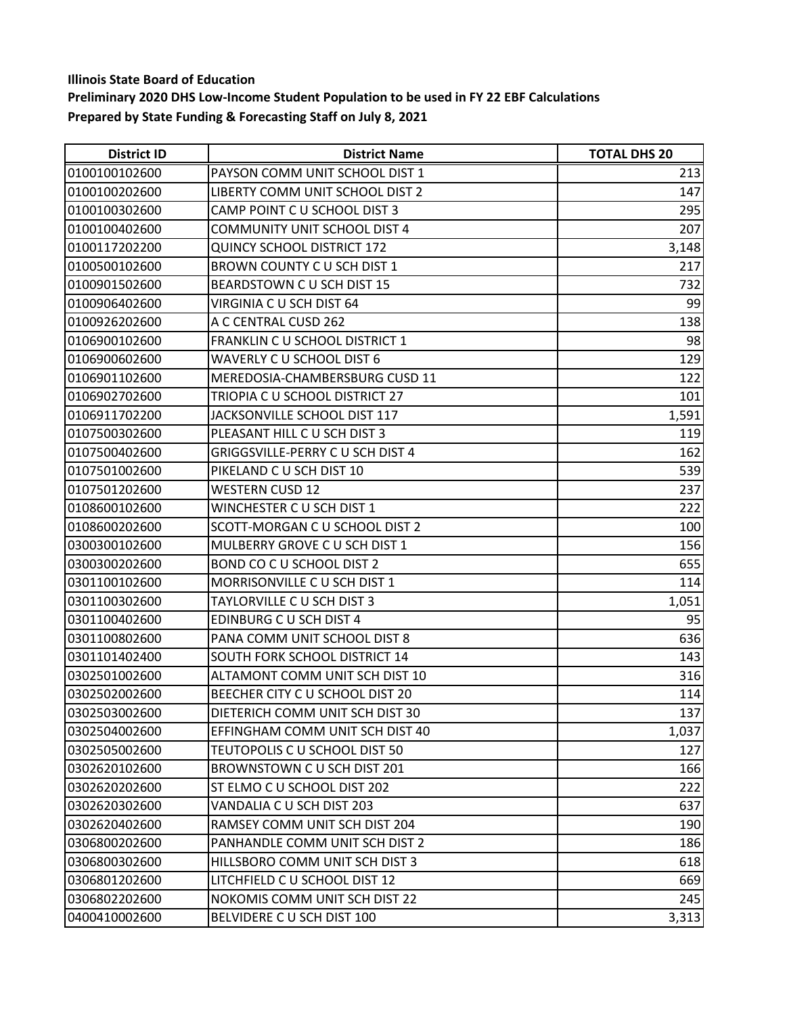| <b>District ID</b> | <b>District Name</b>              | <b>TOTAL DHS 20</b> |
|--------------------|-----------------------------------|---------------------|
| 0100100102600      | PAYSON COMM UNIT SCHOOL DIST 1    | 213                 |
| 0100100202600      | LIBERTY COMM UNIT SCHOOL DIST 2   | 147                 |
| 0100100302600      | CAMP POINT C U SCHOOL DIST 3      | 295                 |
| 0100100402600      | COMMUNITY UNIT SCHOOL DIST 4      | 207                 |
| 0100117202200      | <b>QUINCY SCHOOL DISTRICT 172</b> | 3,148               |
| 0100500102600      | BROWN COUNTY C U SCH DIST 1       | 217                 |
| 0100901502600      | BEARDSTOWN CU SCH DIST 15         | 732                 |
| 0100906402600      | VIRGINIA C U SCH DIST 64          | 99                  |
| 0100926202600      | A C CENTRAL CUSD 262              | 138                 |
| 0106900102600      | FRANKLIN C U SCHOOL DISTRICT 1    | 98                  |
| 0106900602600      | WAVERLY C U SCHOOL DIST 6         | 129                 |
| 0106901102600      | MEREDOSIA-CHAMBERSBURG CUSD 11    | 122                 |
| 0106902702600      | TRIOPIA C U SCHOOL DISTRICT 27    | 101                 |
| 0106911702200      | JACKSONVILLE SCHOOL DIST 117      | 1,591               |
| 0107500302600      | PLEASANT HILL C U SCH DIST 3      | 119                 |
| 0107500402600      | GRIGGSVILLE-PERRY C U SCH DIST 4  | 162                 |
| 0107501002600      | PIKELAND C U SCH DIST 10          | 539                 |
| 0107501202600      | <b>WESTERN CUSD 12</b>            | 237                 |
| 0108600102600      | WINCHESTER C U SCH DIST 1         | 222                 |
| 0108600202600      | SCOTT-MORGAN C U SCHOOL DIST 2    | 100                 |
| 0300300102600      | MULBERRY GROVE C U SCH DIST 1     | 156                 |
| 0300300202600      | BOND CO C U SCHOOL DIST 2         | 655                 |
| 0301100102600      | MORRISONVILLE C U SCH DIST 1      | 114                 |
| 0301100302600      | TAYLORVILLE C U SCH DIST 3        | 1,051               |
| 0301100402600      | EDINBURG C U SCH DIST 4           | 95                  |
| 0301100802600      | PANA COMM UNIT SCHOOL DIST 8      | 636                 |
| 0301101402400      | SOUTH FORK SCHOOL DISTRICT 14     | 143                 |
| 0302501002600      | ALTAMONT COMM UNIT SCH DIST 10    | 316                 |
| 0302502002600      | BEECHER CITY C U SCHOOL DIST 20   | 114                 |
| 0302503002600      | DIETERICH COMM UNIT SCH DIST 30   | 137                 |
| 0302504002600      | EFFINGHAM COMM UNIT SCH DIST 40   | 1,037               |
| 0302505002600      | TEUTOPOLIS C U SCHOOL DIST 50     | 127                 |
| 0302620102600      | BROWNSTOWN C U SCH DIST 201       | 166                 |
| 0302620202600      | ST ELMO C U SCHOOL DIST 202       | 222                 |
| 0302620302600      | VANDALIA C U SCH DIST 203         | 637                 |
| 0302620402600      | RAMSEY COMM UNIT SCH DIST 204     | 190                 |
| 0306800202600      | PANHANDLE COMM UNIT SCH DIST 2    | 186                 |
| 0306800302600      | HILLSBORO COMM UNIT SCH DIST 3    | 618                 |
| 0306801202600      | LITCHFIELD C U SCHOOL DIST 12     | 669                 |
| 0306802202600      | NOKOMIS COMM UNIT SCH DIST 22     | 245                 |
| 0400410002600      | BELVIDERE C U SCH DIST 100        | 3,313               |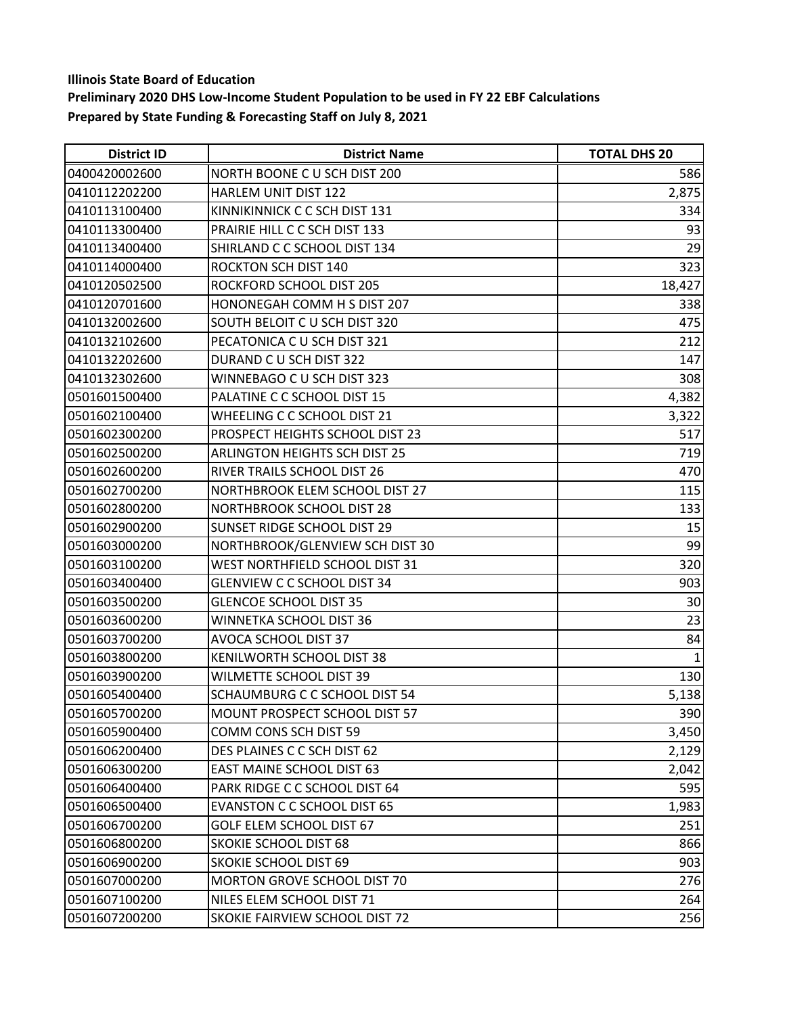| <b>District ID</b> | <b>District Name</b>                 | <b>TOTAL DHS 20</b> |
|--------------------|--------------------------------------|---------------------|
| 0400420002600      | NORTH BOONE C U SCH DIST 200         | 586                 |
| 0410112202200      | HARLEM UNIT DIST 122                 | 2,875               |
| 0410113100400      | KINNIKINNICK C C SCH DIST 131        | 334                 |
| 0410113300400      | PRAIRIE HILL C C SCH DIST 133        | 93                  |
| 0410113400400      | SHIRLAND C C SCHOOL DIST 134         | 29                  |
| 0410114000400      | <b>ROCKTON SCH DIST 140</b>          | 323                 |
| 0410120502500      | ROCKFORD SCHOOL DIST 205             | 18,427              |
| 0410120701600      | HONONEGAH COMM H S DIST 207          | 338                 |
| 0410132002600      | SOUTH BELOIT C U SCH DIST 320        | 475                 |
| 0410132102600      | PECATONICA C U SCH DIST 321          | 212                 |
| 0410132202600      | DURAND C U SCH DIST 322              | 147                 |
| 0410132302600      | WINNEBAGO C U SCH DIST 323           | 308                 |
| 0501601500400      | PALATINE C C SCHOOL DIST 15          | 4,382               |
| 0501602100400      | WHEELING C C SCHOOL DIST 21          | 3,322               |
| 0501602300200      | PROSPECT HEIGHTS SCHOOL DIST 23      | 517                 |
| 0501602500200      | <b>ARLINGTON HEIGHTS SCH DIST 25</b> | 719                 |
| 0501602600200      | RIVER TRAILS SCHOOL DIST 26          | 470                 |
| 0501602700200      | NORTHBROOK ELEM SCHOOL DIST 27       | 115                 |
| 0501602800200      | <b>NORTHBROOK SCHOOL DIST 28</b>     | 133                 |
| 0501602900200      | SUNSET RIDGE SCHOOL DIST 29          | 15                  |
| 0501603000200      | NORTHBROOK/GLENVIEW SCH DIST 30      | 99                  |
| 0501603100200      | WEST NORTHFIELD SCHOOL DIST 31       | 320                 |
| 0501603400400      | <b>GLENVIEW C C SCHOOL DIST 34</b>   | 903                 |
| 0501603500200      | <b>GLENCOE SCHOOL DIST 35</b>        | 30                  |
| 0501603600200      | WINNETKA SCHOOL DIST 36              | 23                  |
| 0501603700200      | AVOCA SCHOOL DIST 37                 | 84                  |
| 0501603800200      | KENILWORTH SCHOOL DIST 38            |                     |
| 0501603900200      | WILMETTE SCHOOL DIST 39              | 130                 |
| 0501605400400      | SCHAUMBURG C C SCHOOL DIST 54        | 5,138               |
| 0501605700200      | MOUNT PROSPECT SCHOOL DIST 57        | 390                 |
| 0501605900400      | COMM CONS SCH DIST 59                | 3,450               |
| 0501606200400      | DES PLAINES C C SCH DIST 62          | 2,129               |
| 0501606300200      | <b>EAST MAINE SCHOOL DIST 63</b>     | 2,042               |
| 0501606400400      | PARK RIDGE C C SCHOOL DIST 64        | 595                 |
| 0501606500400      | <b>EVANSTON C C SCHOOL DIST 65</b>   | 1,983               |
| 0501606700200      | GOLF ELEM SCHOOL DIST 67             | 251                 |
| 0501606800200      | <b>SKOKIE SCHOOL DIST 68</b>         | 866                 |
| 0501606900200      | <b>SKOKIE SCHOOL DIST 69</b>         | 903                 |
| 0501607000200      | MORTON GROVE SCHOOL DIST 70          | 276                 |
| 0501607100200      | NILES ELEM SCHOOL DIST 71            | 264                 |
| 0501607200200      | SKOKIE FAIRVIEW SCHOOL DIST 72       | 256                 |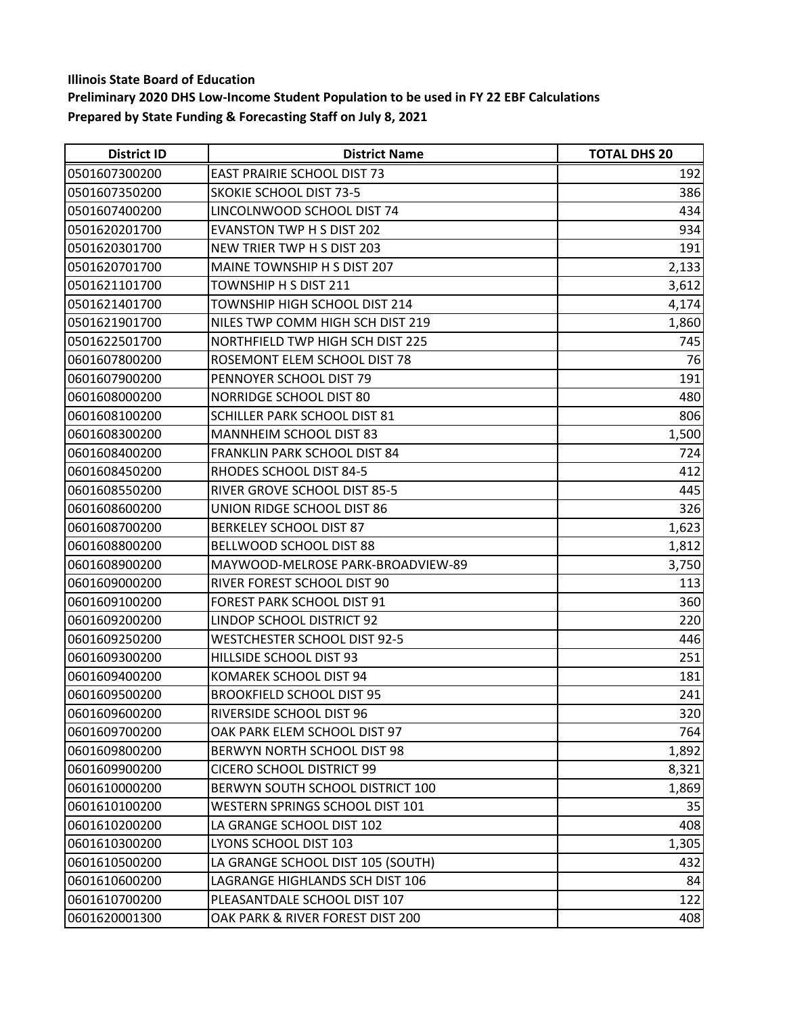| <b>District ID</b> | <b>District Name</b>                 | <b>TOTAL DHS 20</b> |
|--------------------|--------------------------------------|---------------------|
| 0501607300200      | <b>EAST PRAIRIE SCHOOL DIST 73</b>   | 192                 |
| 0501607350200      | <b>SKOKIE SCHOOL DIST 73-5</b>       | 386                 |
| 0501607400200      | LINCOLNWOOD SCHOOL DIST 74           | 434                 |
| 0501620201700      | <b>EVANSTON TWP H S DIST 202</b>     | 934                 |
| 0501620301700      | NEW TRIER TWP H S DIST 203           | 191                 |
| 0501620701700      | MAINE TOWNSHIP H S DIST 207          | 2,133               |
| 0501621101700      | <b>TOWNSHIP H S DIST 211</b>         | 3,612               |
| 0501621401700      | <b>TOWNSHIP HIGH SCHOOL DIST 214</b> | 4,174               |
| 0501621901700      | NILES TWP COMM HIGH SCH DIST 219     | 1,860               |
| 0501622501700      | NORTHFIELD TWP HIGH SCH DIST 225     | 745                 |
| 0601607800200      | ROSEMONT ELEM SCHOOL DIST 78         | 76                  |
| 0601607900200      | PENNOYER SCHOOL DIST 79              | 191                 |
| 0601608000200      | NORRIDGE SCHOOL DIST 80              | 480                 |
| 0601608100200      | SCHILLER PARK SCHOOL DIST 81         | 806                 |
| 0601608300200      | MANNHEIM SCHOOL DIST 83              | 1,500               |
| 0601608400200      | FRANKLIN PARK SCHOOL DIST 84         | 724                 |
| 0601608450200      | RHODES SCHOOL DIST 84-5              | 412                 |
| 0601608550200      | RIVER GROVE SCHOOL DIST 85-5         | 445                 |
| 0601608600200      | UNION RIDGE SCHOOL DIST 86           | 326                 |
| 0601608700200      | <b>BERKELEY SCHOOL DIST 87</b>       | 1,623               |
| 0601608800200      | <b>BELLWOOD SCHOOL DIST 88</b>       | 1,812               |
| 0601608900200      | MAYWOOD-MELROSE PARK-BROADVIEW-89    | 3,750               |
| 0601609000200      | RIVER FOREST SCHOOL DIST 90          | 113                 |
| 0601609100200      | FOREST PARK SCHOOL DIST 91           | 360                 |
| 0601609200200      | LINDOP SCHOOL DISTRICT 92            | 220                 |
| 0601609250200      | <b>WESTCHESTER SCHOOL DIST 92-5</b>  | 446                 |
| 0601609300200      | HILLSIDE SCHOOL DIST 93              | 251                 |
| 0601609400200      | KOMAREK SCHOOL DIST 94               | 181                 |
| 0601609500200      | <b>BROOKFIELD SCHOOL DIST 95</b>     | 241                 |
| 0601609600200      | RIVERSIDE SCHOOL DIST 96             | 320                 |
| 0601609700200      | OAK PARK ELEM SCHOOL DIST 97         | 764                 |
| 0601609800200      | BERWYN NORTH SCHOOL DIST 98          | 1,892               |
| 0601609900200      | <b>CICERO SCHOOL DISTRICT 99</b>     | 8,321               |
| 0601610000200      | BERWYN SOUTH SCHOOL DISTRICT 100     | 1,869               |
| 0601610100200      | WESTERN SPRINGS SCHOOL DIST 101      | 35                  |
| 0601610200200      | LA GRANGE SCHOOL DIST 102            | 408                 |
| 0601610300200      | LYONS SCHOOL DIST 103                | 1,305               |
| 0601610500200      | LA GRANGE SCHOOL DIST 105 (SOUTH)    | 432                 |
| 0601610600200      | LAGRANGE HIGHLANDS SCH DIST 106      | 84                  |
| 0601610700200      | PLEASANTDALE SCHOOL DIST 107         | 122                 |
| 0601620001300      | OAK PARK & RIVER FOREST DIST 200     | 408                 |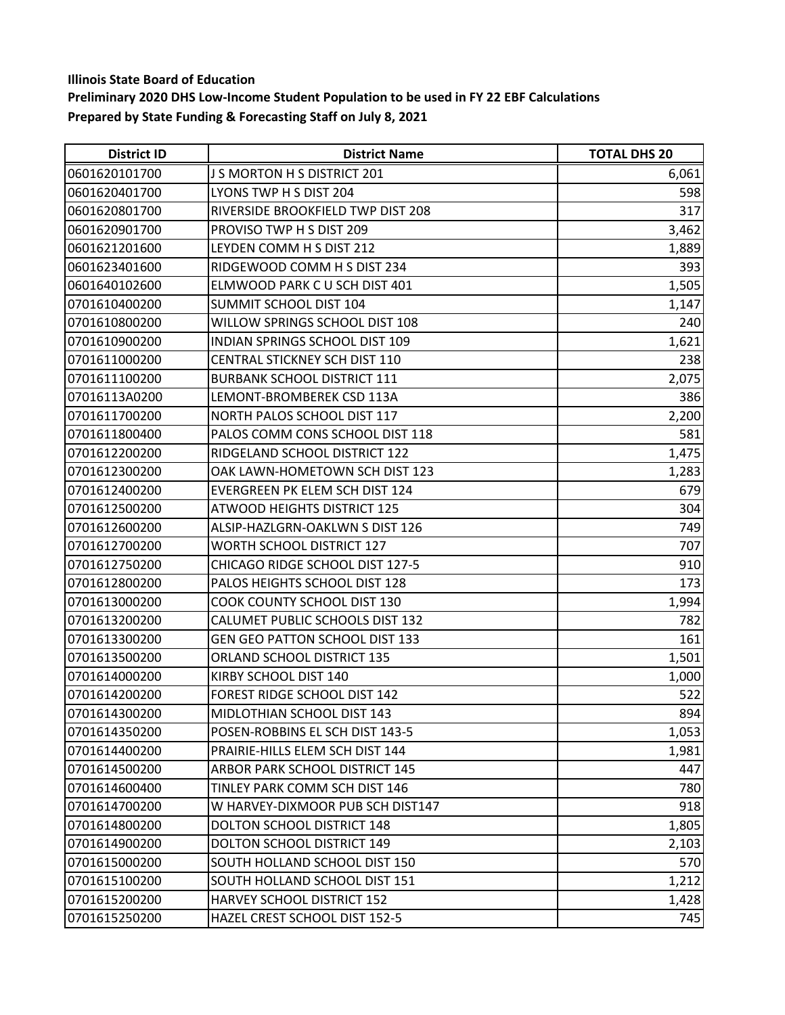| <b>District ID</b> | <b>District Name</b>                  | <b>TOTAL DHS 20</b> |
|--------------------|---------------------------------------|---------------------|
| 0601620101700      | J S MORTON H S DISTRICT 201           | 6,061               |
| 0601620401700      | LYONS TWP H S DIST 204                | 598                 |
| 0601620801700      | RIVERSIDE BROOKFIELD TWP DIST 208     | 317                 |
| 0601620901700      | PROVISO TWP H S DIST 209              | 3,462               |
| 0601621201600      | LEYDEN COMM H S DIST 212              | 1,889               |
| 0601623401600      | RIDGEWOOD COMM H S DIST 234           | 393                 |
| 0601640102600      | ELMWOOD PARK C U SCH DIST 401         | 1,505               |
| 0701610400200      | SUMMIT SCHOOL DIST 104                | 1,147               |
| 0701610800200      | WILLOW SPRINGS SCHOOL DIST 108        | 240                 |
| 0701610900200      | INDIAN SPRINGS SCHOOL DIST 109        | 1,621               |
| 0701611000200      | CENTRAL STICKNEY SCH DIST 110         | 238                 |
| 0701611100200      | <b>BURBANK SCHOOL DISTRICT 111</b>    | 2,075               |
| 07016113A0200      | LEMONT-BROMBEREK CSD 113A             | 386                 |
| 0701611700200      | NORTH PALOS SCHOOL DIST 117           | 2,200               |
| 0701611800400      | PALOS COMM CONS SCHOOL DIST 118       | 581                 |
| 0701612200200      | RIDGELAND SCHOOL DISTRICT 122         | 1,475               |
| 0701612300200      | OAK LAWN-HOMETOWN SCH DIST 123        | 1,283               |
| 0701612400200      | EVERGREEN PK ELEM SCH DIST 124        | 679                 |
| 0701612500200      | <b>ATWOOD HEIGHTS DISTRICT 125</b>    | 304                 |
| 0701612600200      | ALSIP-HAZLGRN-OAKLWN S DIST 126       | 749                 |
| 0701612700200      | WORTH SCHOOL DISTRICT 127             | 707                 |
| 0701612750200      | CHICAGO RIDGE SCHOOL DIST 127-5       | 910                 |
| 0701612800200      | PALOS HEIGHTS SCHOOL DIST 128         | 173                 |
| 0701613000200      | COOK COUNTY SCHOOL DIST 130           | 1,994               |
| 0701613200200      | CALUMET PUBLIC SCHOOLS DIST 132       | 782                 |
| 0701613300200      | <b>GEN GEO PATTON SCHOOL DIST 133</b> | 161                 |
| 0701613500200      | ORLAND SCHOOL DISTRICT 135            | 1,501               |
| 0701614000200      | KIRBY SCHOOL DIST 140                 | 1,000               |
| 0701614200200      | FOREST RIDGE SCHOOL DIST 142          | 522                 |
| 0701614300200      | MIDLOTHIAN SCHOOL DIST 143            | 894                 |
| 0701614350200      | POSEN-ROBBINS EL SCH DIST 143-5       | 1,053               |
| 0701614400200      | PRAIRIE-HILLS ELEM SCH DIST 144       | 1,981               |
| 0701614500200      | <b>ARBOR PARK SCHOOL DISTRICT 145</b> | 447                 |
| 0701614600400      | TINLEY PARK COMM SCH DIST 146         | 780                 |
| 0701614700200      | W HARVEY-DIXMOOR PUB SCH DIST147      | 918                 |
| 0701614800200      | DOLTON SCHOOL DISTRICT 148            | 1,805               |
| 0701614900200      | DOLTON SCHOOL DISTRICT 149            | 2,103               |
| 0701615000200      | SOUTH HOLLAND SCHOOL DIST 150         | 570                 |
| 0701615100200      | SOUTH HOLLAND SCHOOL DIST 151         | 1,212               |
| 0701615200200      | <b>HARVEY SCHOOL DISTRICT 152</b>     | 1,428               |
| 0701615250200      | HAZEL CREST SCHOOL DIST 152-5         | 745                 |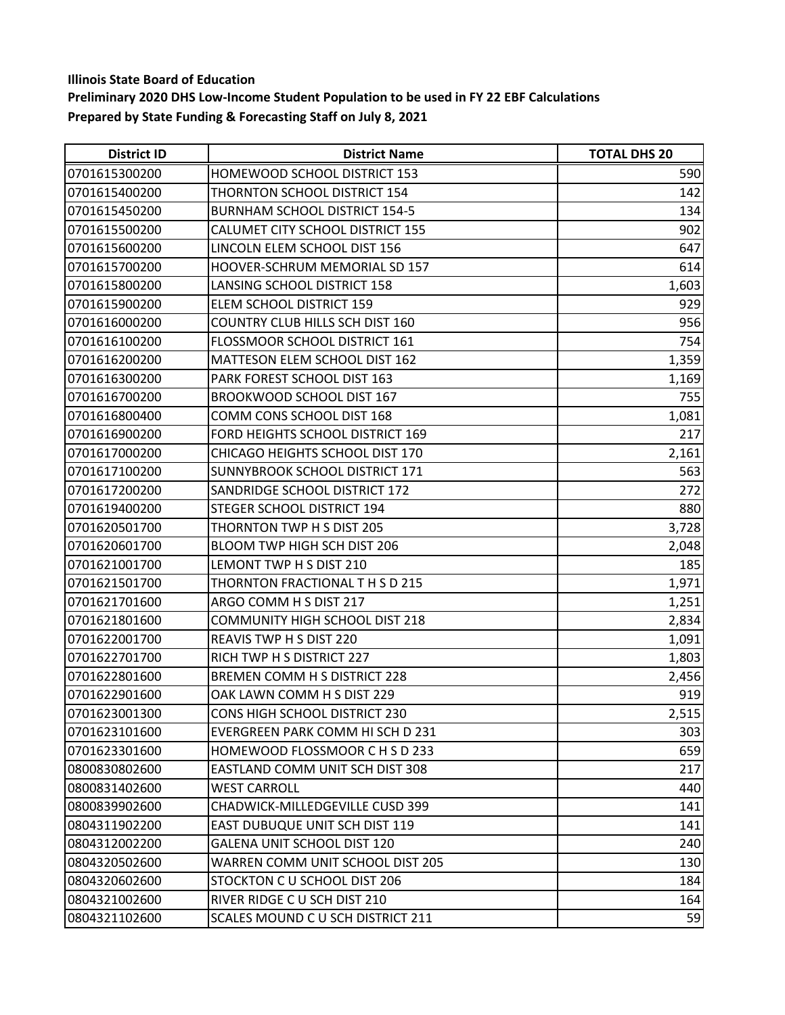| <b>District ID</b> | <b>District Name</b>                    | <b>TOTAL DHS 20</b> |
|--------------------|-----------------------------------------|---------------------|
| 0701615300200      | HOMEWOOD SCHOOL DISTRICT 153            | 590                 |
| 0701615400200      | THORNTON SCHOOL DISTRICT 154            | 142                 |
| 0701615450200      | <b>BURNHAM SCHOOL DISTRICT 154-5</b>    | 134                 |
| 0701615500200      | CALUMET CITY SCHOOL DISTRICT 155        | 902                 |
| 0701615600200      | LINCOLN ELEM SCHOOL DIST 156            | 647                 |
| 0701615700200      | HOOVER-SCHRUM MEMORIAL SD 157           | 614                 |
| 0701615800200      | LANSING SCHOOL DISTRICT 158             | 1,603               |
| 0701615900200      | ELEM SCHOOL DISTRICT 159                | 929                 |
| 0701616000200      | <b>COUNTRY CLUB HILLS SCH DIST 160</b>  | 956                 |
| 0701616100200      | FLOSSMOOR SCHOOL DISTRICT 161           | 754                 |
| 0701616200200      | MATTESON ELEM SCHOOL DIST 162           | 1,359               |
| 0701616300200      | PARK FOREST SCHOOL DIST 163             | 1,169               |
| 0701616700200      | BROOKWOOD SCHOOL DIST 167               | 755                 |
| 0701616800400      | COMM CONS SCHOOL DIST 168               | 1,081               |
| 0701616900200      | FORD HEIGHTS SCHOOL DISTRICT 169        | 217                 |
| 0701617000200      | CHICAGO HEIGHTS SCHOOL DIST 170         | 2,161               |
| 0701617100200      | SUNNYBROOK SCHOOL DISTRICT 171          | 563                 |
| 0701617200200      | SANDRIDGE SCHOOL DISTRICT 172           | 272                 |
| 0701619400200      | STEGER SCHOOL DISTRICT 194              | 880                 |
| 0701620501700      | THORNTON TWP H S DIST 205               | 3,728               |
| 0701620601700      | BLOOM TWP HIGH SCH DIST 206             | 2,048               |
| 0701621001700      | LEMONT TWP H S DIST 210                 | 185                 |
| 0701621501700      | THORNTON FRACTIONAL T H S D 215         | 1,971               |
| 0701621701600      | ARGO COMM H S DIST 217                  | 1,251               |
| 0701621801600      | <b>COMMUNITY HIGH SCHOOL DIST 218</b>   | 2,834               |
| 0701622001700      | REAVIS TWP H S DIST 220                 | 1,091               |
| 0701622701700      | RICH TWP H S DISTRICT 227               | 1,803               |
| 0701622801600      | BREMEN COMM H S DISTRICT 228            | 2,456               |
| 0701622901600      | OAK LAWN COMM H S DIST 229              | 919                 |
| 0701623001300      | CONS HIGH SCHOOL DISTRICT 230           | 2,515               |
| 0701623101600      | EVERGREEN PARK COMM HI SCH D 231        | 303                 |
| 0701623301600      | HOMEWOOD FLOSSMOOR C H S D 233          | 659                 |
| 0800830802600      | EASTLAND COMM UNIT SCH DIST 308         | 217                 |
| 0800831402600      | <b>WEST CARROLL</b>                     | 440                 |
| 0800839902600      | CHADWICK-MILLEDGEVILLE CUSD 399         | 141                 |
| 0804311902200      | EAST DUBUQUE UNIT SCH DIST 119          | 141                 |
| 0804312002200      | GALENA UNIT SCHOOL DIST 120             | 240                 |
| 0804320502600      | <b>WARREN COMM UNIT SCHOOL DIST 205</b> | 130                 |
| 0804320602600      | STOCKTON C U SCHOOL DIST 206            | 184                 |
| 0804321002600      | RIVER RIDGE C U SCH DIST 210            | 164                 |
| 0804321102600      | SCALES MOUND C U SCH DISTRICT 211       | 59                  |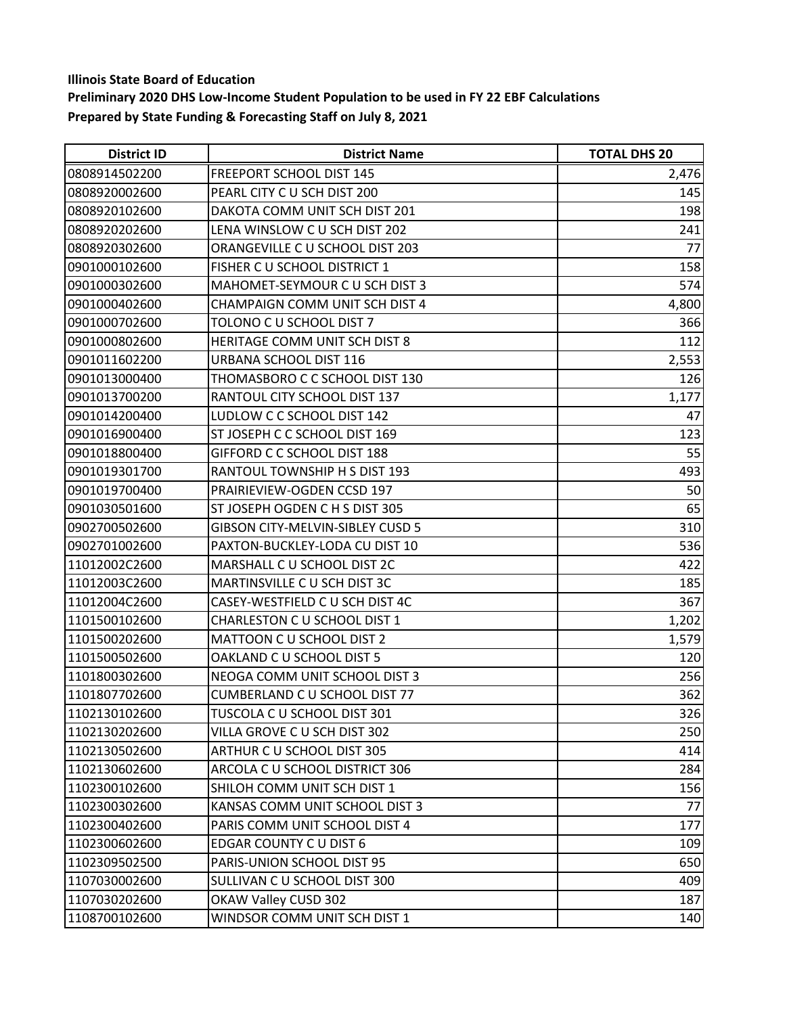| <b>District ID</b> | <b>District Name</b>                | <b>TOTAL DHS 20</b> |
|--------------------|-------------------------------------|---------------------|
| 0808914502200      | FREEPORT SCHOOL DIST 145            | 2,476               |
| 0808920002600      | PEARL CITY C U SCH DIST 200         | 145                 |
| 0808920102600      | DAKOTA COMM UNIT SCH DIST 201       | 198                 |
| 0808920202600      | LENA WINSLOW C U SCH DIST 202       | 241                 |
| 0808920302600      | ORANGEVILLE C U SCHOOL DIST 203     | 77                  |
| 0901000102600      | FISHER C U SCHOOL DISTRICT 1        | 158                 |
| 0901000302600      | MAHOMET-SEYMOUR C U SCH DIST 3      | 574                 |
| 0901000402600      | CHAMPAIGN COMM UNIT SCH DIST 4      | 4,800               |
| 0901000702600      | TOLONO C U SCHOOL DIST 7            | 366                 |
| 0901000802600      | HERITAGE COMM UNIT SCH DIST 8       | 112                 |
| 0901011602200      | URBANA SCHOOL DIST 116              | 2,553               |
| 0901013000400      | THOMASBORO C C SCHOOL DIST 130      | 126                 |
| 0901013700200      | <b>RANTOUL CITY SCHOOL DIST 137</b> | 1,177               |
| 0901014200400      | LUDLOW C C SCHOOL DIST 142          | 47                  |
| 0901016900400      | ST JOSEPH C C SCHOOL DIST 169       | 123                 |
| 0901018800400      | GIFFORD C C SCHOOL DIST 188         | 55                  |
| 0901019301700      | RANTOUL TOWNSHIP H S DIST 193       | 493                 |
| 0901019700400      | PRAIRIEVIEW-OGDEN CCSD 197          | 50                  |
| 0901030501600      | ST JOSEPH OGDEN C H S DIST 305      | 65                  |
| 0902700502600      | GIBSON CITY-MELVIN-SIBLEY CUSD 5    | 310                 |
| 0902701002600      | PAXTON-BUCKLEY-LODA CU DIST 10      | 536                 |
| 11012002C2600      | MARSHALL C U SCHOOL DIST 2C         | 422                 |
| 11012003C2600      | MARTINSVILLE C U SCH DIST 3C        | 185                 |
| 11012004C2600      | CASEY-WESTFIELD C U SCH DIST 4C     | 367                 |
| 1101500102600      | CHARLESTON C U SCHOOL DIST 1        | 1,202               |
| 1101500202600      | MATTOON C U SCHOOL DIST 2           | 1,579               |
| 1101500502600      | OAKLAND C U SCHOOL DIST 5           | 120                 |
| 1101800302600      | NEOGA COMM UNIT SCHOOL DIST 3       | 256                 |
| 1101807702600      | CUMBERLAND C U SCHOOL DIST 77       | 362                 |
| 1102130102600      | TUSCOLA C U SCHOOL DIST 301         | 326                 |
| 1102130202600      | VILLA GROVE CU SCH DIST 302         | 250                 |
| 1102130502600      | ARTHUR C U SCHOOL DIST 305          | 414                 |
| 1102130602600      | ARCOLA C U SCHOOL DISTRICT 306      | 284                 |
| 1102300102600      | SHILOH COMM UNIT SCH DIST 1         | 156                 |
| 1102300302600      | KANSAS COMM UNIT SCHOOL DIST 3      | 77                  |
| 1102300402600      | PARIS COMM UNIT SCHOOL DIST 4       | 177                 |
| 1102300602600      | EDGAR COUNTY C U DIST 6             | 109                 |
| 1102309502500      | PARIS-UNION SCHOOL DIST 95          | 650                 |
| 1107030002600      | SULLIVAN C U SCHOOL DIST 300        | 409                 |
| 1107030202600      | OKAW Valley CUSD 302                | 187                 |
| 1108700102600      | WINDSOR COMM UNIT SCH DIST 1        | 140                 |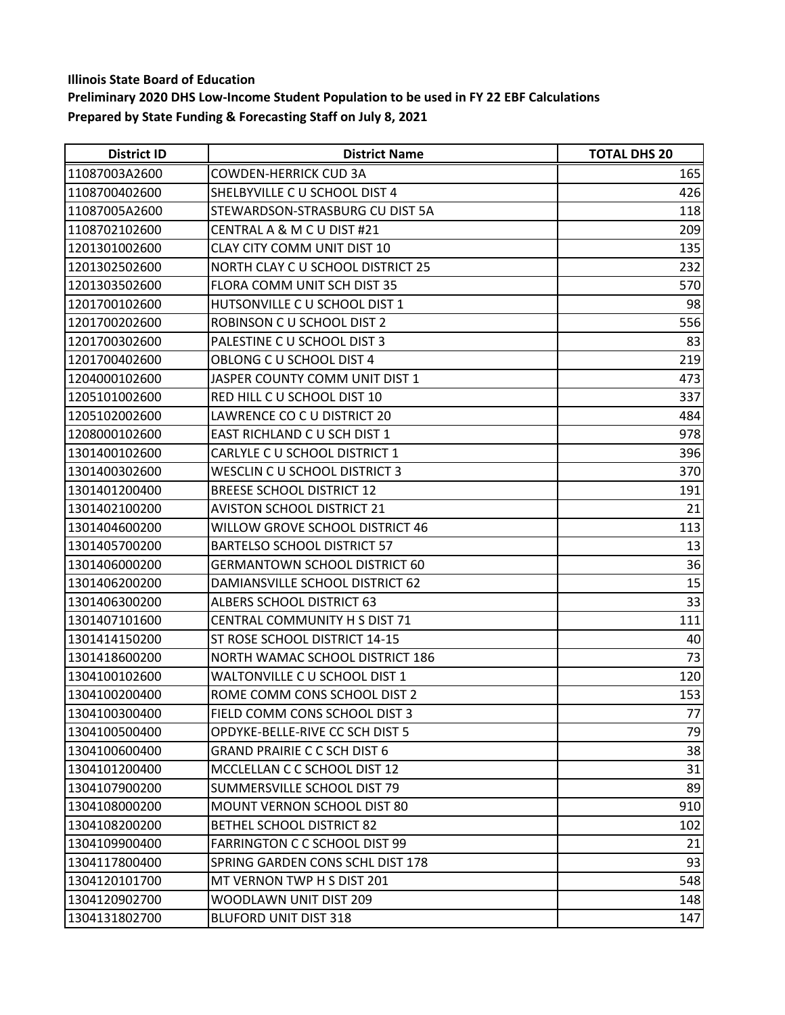| <b>District ID</b> | <b>District Name</b>                 | <b>TOTAL DHS 20</b> |
|--------------------|--------------------------------------|---------------------|
| 11087003A2600      | <b>COWDEN-HERRICK CUD 3A</b>         | 165                 |
| 1108700402600      | SHELBYVILLE C U SCHOOL DIST 4        | 426                 |
| 11087005A2600      | STEWARDSON-STRASBURG CU DIST 5A      | 118                 |
| 1108702102600      | CENTRAL A & M C U DIST #21           | 209                 |
| 1201301002600      | CLAY CITY COMM UNIT DIST 10          | 135                 |
| 1201302502600      | NORTH CLAY C U SCHOOL DISTRICT 25    | 232                 |
| 1201303502600      | FLORA COMM UNIT SCH DIST 35          | 570                 |
| 1201700102600      | HUTSONVILLE C U SCHOOL DIST 1        | 98                  |
| 1201700202600      | ROBINSON C U SCHOOL DIST 2           | 556                 |
| 1201700302600      | PALESTINE C U SCHOOL DIST 3          | 83                  |
| 1201700402600      | OBLONG C U SCHOOL DIST 4             | 219                 |
| 1204000102600      | JASPER COUNTY COMM UNIT DIST 1       | 473                 |
| 1205101002600      | RED HILL C U SCHOOL DIST 10          | 337                 |
| 1205102002600      | LAWRENCE CO C U DISTRICT 20          | 484                 |
| 1208000102600      | EAST RICHLAND C U SCH DIST 1         | 978                 |
| 1301400102600      | <b>CARLYLE C U SCHOOL DISTRICT 1</b> | 396                 |
| 1301400302600      | WESCLIN C U SCHOOL DISTRICT 3        | 370                 |
| 1301401200400      | <b>BREESE SCHOOL DISTRICT 12</b>     | 191                 |
| 1301402100200      | <b>AVISTON SCHOOL DISTRICT 21</b>    | 21                  |
| 1301404600200      | WILLOW GROVE SCHOOL DISTRICT 46      | 113                 |
| 1301405700200      | <b>BARTELSO SCHOOL DISTRICT 57</b>   | 13                  |
| 1301406000200      | <b>GERMANTOWN SCHOOL DISTRICT 60</b> | 36                  |
| 1301406200200      | DAMIANSVILLE SCHOOL DISTRICT 62      | 15                  |
| 1301406300200      | <b>ALBERS SCHOOL DISTRICT 63</b>     | 33                  |
| 1301407101600      | CENTRAL COMMUNITY H S DIST 71        | 111                 |
| 1301414150200      | ST ROSE SCHOOL DISTRICT 14-15        | 40                  |
| 1301418600200      | NORTH WAMAC SCHOOL DISTRICT 186      | 73                  |
| 1304100102600      | WALTONVILLE C U SCHOOL DIST 1        | 120                 |
| 1304100200400      | ROME COMM CONS SCHOOL DIST 2         | 153                 |
| 1304100300400      | FIELD COMM CONS SCHOOL DIST 3        | 77                  |
| 1304100500400      | OPDYKE-BELLE-RIVE CC SCH DIST 5      | 79                  |
| 1304100600400      | <b>GRAND PRAIRIE C C SCH DIST 6</b>  | 38                  |
| 1304101200400      | MCCLELLAN C C SCHOOL DIST 12         | 31                  |
| 1304107900200      | SUMMERSVILLE SCHOOL DIST 79          | 89                  |
| 1304108000200      | <b>MOUNT VERNON SCHOOL DIST 80</b>   | 910                 |
| 1304108200200      | <b>BETHEL SCHOOL DISTRICT 82</b>     | 102                 |
| 1304109900400      | <b>FARRINGTON C C SCHOOL DIST 99</b> | 21                  |
| 1304117800400      | SPRING GARDEN CONS SCHL DIST 178     | 93                  |
| 1304120101700      | MT VERNON TWP H S DIST 201           | 548                 |
| 1304120902700      | WOODLAWN UNIT DIST 209               | 148                 |
| 1304131802700      | <b>BLUFORD UNIT DIST 318</b>         | 147                 |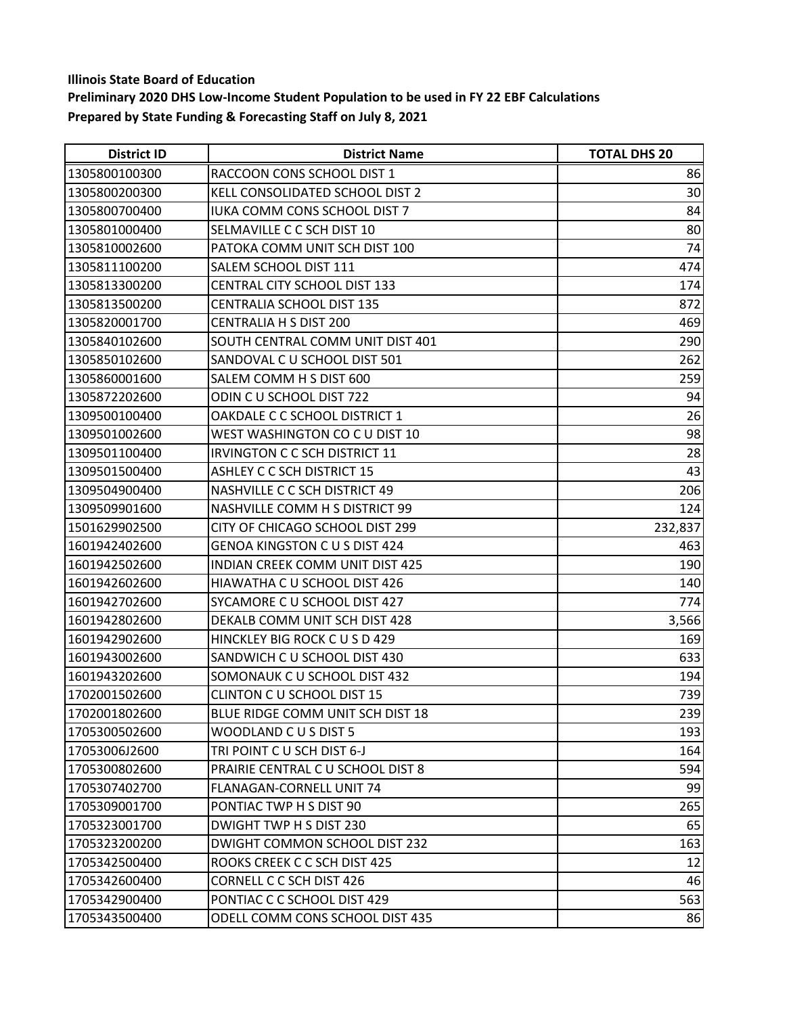| <b>District ID</b> | <b>District Name</b>                   | <b>TOTAL DHS 20</b> |
|--------------------|----------------------------------------|---------------------|
| 1305800100300      | RACCOON CONS SCHOOL DIST 1             | 86                  |
| 1305800200300      | KELL CONSOLIDATED SCHOOL DIST 2        | 30                  |
| 1305800700400      | IUKA COMM CONS SCHOOL DIST 7           | 84                  |
| 1305801000400      | SELMAVILLE C C SCH DIST 10             | 80                  |
| 1305810002600      | PATOKA COMM UNIT SCH DIST 100          | 74                  |
| 1305811100200      | SALEM SCHOOL DIST 111                  | 474                 |
| 1305813300200      | <b>CENTRAL CITY SCHOOL DIST 133</b>    | 174                 |
| 1305813500200      | <b>CENTRALIA SCHOOL DIST 135</b>       | 872                 |
| 1305820001700      | <b>CENTRALIA H S DIST 200</b>          | 469                 |
| 1305840102600      | SOUTH CENTRAL COMM UNIT DIST 401       | 290                 |
| 1305850102600      | SANDOVAL C U SCHOOL DIST 501           | 262                 |
| 1305860001600      | SALEM COMM H S DIST 600                | 259                 |
| 1305872202600      | ODIN C U SCHOOL DIST 722               | 94                  |
| 1309500100400      | OAKDALE C C SCHOOL DISTRICT 1          | 26                  |
| 1309501002600      | WEST WASHINGTON CO C U DIST 10         | 98                  |
| 1309501100400      | IRVINGTON C C SCH DISTRICT 11          | 28                  |
| 1309501500400      | <b>ASHLEY C C SCH DISTRICT 15</b>      | 43                  |
| 1309504900400      | NASHVILLE C C SCH DISTRICT 49          | 206                 |
| 1309509901600      | NASHVILLE COMM H S DISTRICT 99         | 124                 |
| 1501629902500      | CITY OF CHICAGO SCHOOL DIST 299        | 232,837             |
| 1601942402600      | <b>GENOA KINGSTON C U S DIST 424</b>   | 463                 |
| 1601942502600      | <b>INDIAN CREEK COMM UNIT DIST 425</b> | 190                 |
| 1601942602600      | HIAWATHA C U SCHOOL DIST 426           | 140                 |
| 1601942702600      | SYCAMORE C U SCHOOL DIST 427           | 774                 |
| 1601942802600      | DEKALB COMM UNIT SCH DIST 428          | 3,566               |
| 1601942902600      | HINCKLEY BIG ROCK CUSD 429             | 169                 |
| 1601943002600      | SANDWICH C U SCHOOL DIST 430           | 633                 |
| 1601943202600      | SOMONAUK C U SCHOOL DIST 432           | 194                 |
| 1702001502600      | <b>CLINTON C U SCHOOL DIST 15</b>      | 739                 |
| 1702001802600      | BLUE RIDGE COMM UNIT SCH DIST 18       | 239                 |
| 1705300502600      | WOODLAND C U S DIST 5                  | 193                 |
| 17053006J2600      | TRI POINT CU SCH DIST 6-J              | 164                 |
| 1705300802600      | PRAIRIE CENTRAL C U SCHOOL DIST 8      | 594                 |
| 1705307402700      | FLANAGAN-CORNELL UNIT 74               | 99                  |
| 1705309001700      | PONTIAC TWP H S DIST 90                | 265                 |
| 1705323001700      | DWIGHT TWP H S DIST 230                | 65                  |
| 1705323200200      | DWIGHT COMMON SCHOOL DIST 232          | 163                 |
| 1705342500400      | ROOKS CREEK C C SCH DIST 425           | 12                  |
| 1705342600400      | <b>CORNELL C C SCH DIST 426</b>        | 46                  |
| 1705342900400      | PONTIAC C C SCHOOL DIST 429            | 563                 |
| 1705343500400      | ODELL COMM CONS SCHOOL DIST 435        | 86                  |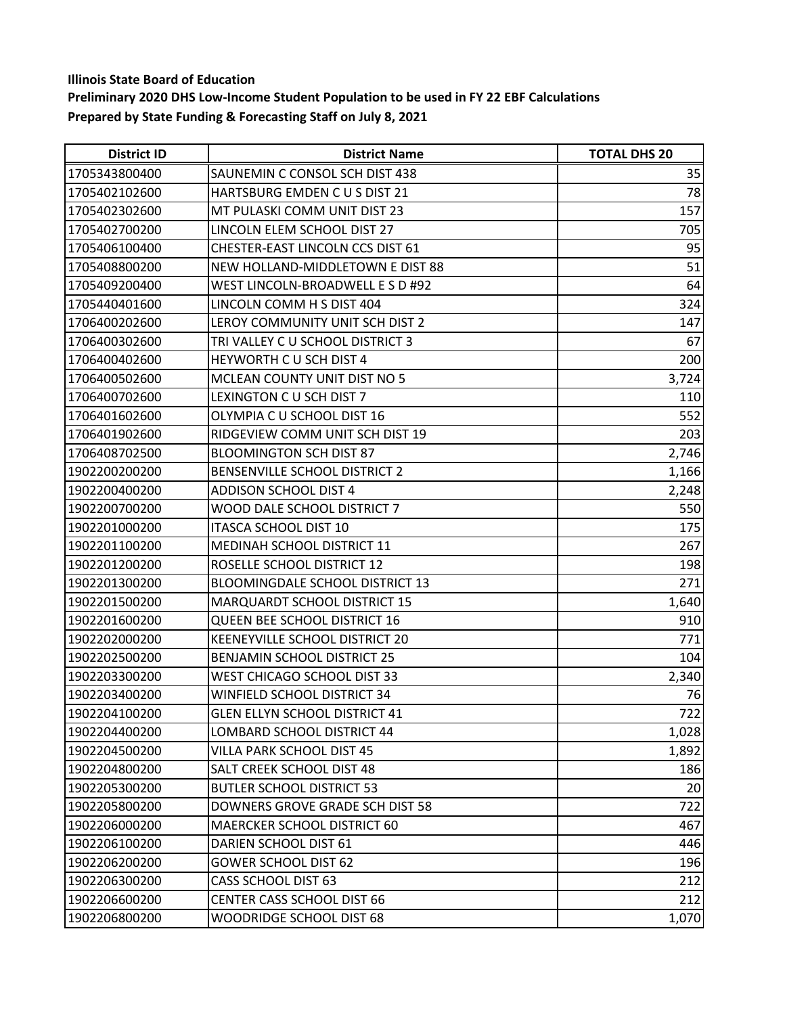| <b>District ID</b> | <b>District Name</b>                   | <b>TOTAL DHS 20</b> |
|--------------------|----------------------------------------|---------------------|
| 1705343800400      | SAUNEMIN C CONSOL SCH DIST 438         | 35                  |
| 1705402102600      | HARTSBURG EMDEN C U S DIST 21          | 78                  |
| 1705402302600      | MT PULASKI COMM UNIT DIST 23           | 157                 |
| 1705402700200      | LINCOLN ELEM SCHOOL DIST 27            | 705                 |
| 1705406100400      | CHESTER-EAST LINCOLN CCS DIST 61       | 95                  |
| 1705408800200      | NEW HOLLAND-MIDDLETOWN E DIST 88       | 51                  |
| 1705409200400      | WEST LINCOLN-BROADWELL E S D #92       | 64                  |
| 1705440401600      | LINCOLN COMM H S DIST 404              | 324                 |
| 1706400202600      | LEROY COMMUNITY UNIT SCH DIST 2        | 147                 |
| 1706400302600      | TRI VALLEY C U SCHOOL DISTRICT 3       | 67                  |
| 1706400402600      | HEYWORTH CU SCH DIST 4                 | 200                 |
| 1706400502600      | MCLEAN COUNTY UNIT DIST NO 5           | 3,724               |
| 1706400702600      | LEXINGTON C U SCH DIST 7               | 110                 |
| 1706401602600      | OLYMPIA C U SCHOOL DIST 16             | 552                 |
| 1706401902600      | RIDGEVIEW COMM UNIT SCH DIST 19        | 203                 |
| 1706408702500      | <b>BLOOMINGTON SCH DIST 87</b>         | 2,746               |
| 1902200200200      | BENSENVILLE SCHOOL DISTRICT 2          | 1,166               |
| 1902200400200      | <b>ADDISON SCHOOL DIST 4</b>           | 2,248               |
| 1902200700200      | WOOD DALE SCHOOL DISTRICT 7            | 550                 |
| 1902201000200      | <b>ITASCA SCHOOL DIST 10</b>           | 175                 |
| 1902201100200      | MEDINAH SCHOOL DISTRICT 11             | 267                 |
| 1902201200200      | ROSELLE SCHOOL DISTRICT 12             | 198                 |
| 1902201300200      | <b>BLOOMINGDALE SCHOOL DISTRICT 13</b> | 271                 |
| 1902201500200      | MARQUARDT SCHOOL DISTRICT 15           | 1,640               |
| 1902201600200      | QUEEN BEE SCHOOL DISTRICT 16           | 910                 |
| 1902202000200      | KEENEYVILLE SCHOOL DISTRICT 20         | 771                 |
| 1902202500200      | <b>BENJAMIN SCHOOL DISTRICT 25</b>     | 104                 |
| 1902203300200      | WEST CHICAGO SCHOOL DIST 33            | 2,340               |
| 1902203400200      | WINFIELD SCHOOL DISTRICT 34            | 76                  |
| 1902204100200      | <b>GLEN ELLYN SCHOOL DISTRICT 41</b>   | 722                 |
| 1902204400200      | LOMBARD SCHOOL DISTRICT 44             | 1,028               |
| 1902204500200      | VILLA PARK SCHOOL DIST 45              | 1,892               |
| 1902204800200      | <b>SALT CREEK SCHOOL DIST 48</b>       | 186                 |
| 1902205300200      | <b>BUTLER SCHOOL DISTRICT 53</b>       | 20                  |
| 1902205800200      | DOWNERS GROVE GRADE SCH DIST 58        | 722                 |
| 1902206000200      | MAERCKER SCHOOL DISTRICT 60            | 467                 |
| 1902206100200      | DARIEN SCHOOL DIST 61                  | 446                 |
| 1902206200200      | <b>GOWER SCHOOL DIST 62</b>            | 196                 |
| 1902206300200      | <b>CASS SCHOOL DIST 63</b>             | 212                 |
| 1902206600200      | <b>CENTER CASS SCHOOL DIST 66</b>      | 212                 |
| 1902206800200      | WOODRIDGE SCHOOL DIST 68               | 1,070               |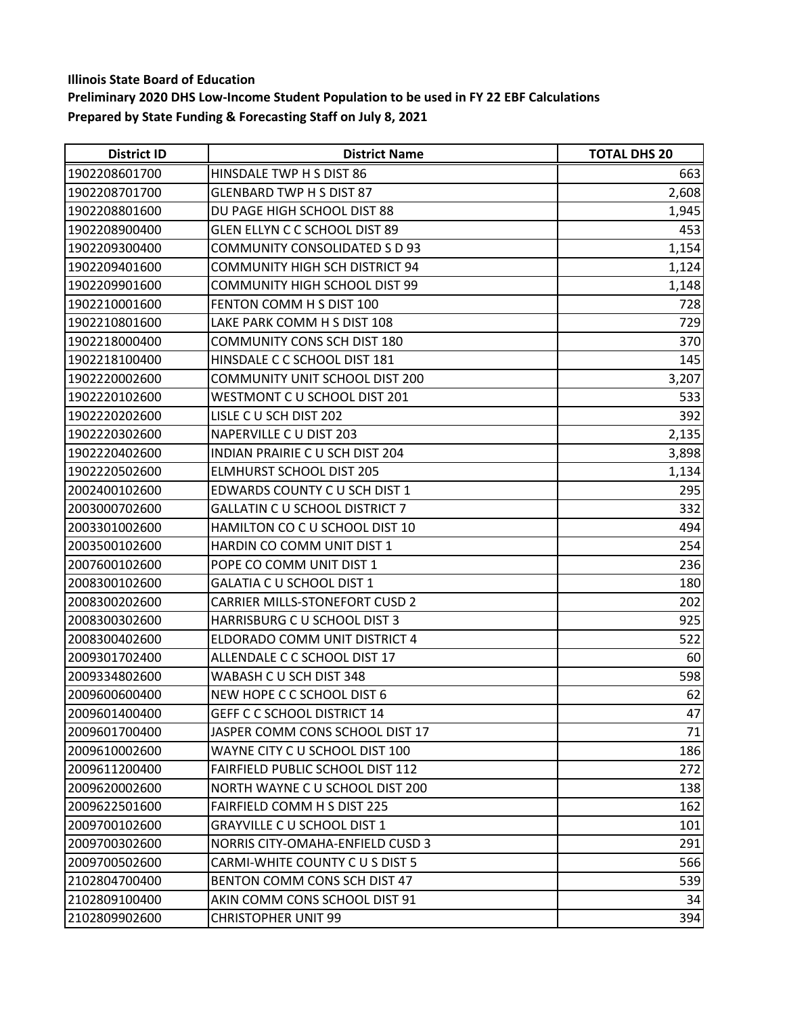| <b>District ID</b> | <b>District Name</b>                  | <b>TOTAL DHS 20</b> |
|--------------------|---------------------------------------|---------------------|
| 1902208601700      | HINSDALE TWP H S DIST 86              | 663                 |
| 1902208701700      | <b>GLENBARD TWP H S DIST 87</b>       | 2,608               |
| 1902208801600      | DU PAGE HIGH SCHOOL DIST 88           | 1,945               |
| 1902208900400      | GLEN ELLYN C C SCHOOL DIST 89         | 453                 |
| 1902209300400      | COMMUNITY CONSOLIDATED S D 93         | 1,154               |
| 1902209401600      | <b>COMMUNITY HIGH SCH DISTRICT 94</b> | 1,124               |
| 1902209901600      | <b>COMMUNITY HIGH SCHOOL DIST 99</b>  | 1,148               |
| 1902210001600      | FENTON COMM H S DIST 100              | 728                 |
| 1902210801600      | LAKE PARK COMM H S DIST 108           | 729                 |
| 1902218000400      | COMMUNITY CONS SCH DIST 180           | 370                 |
| 1902218100400      | HINSDALE C C SCHOOL DIST 181          | 145                 |
| 1902220002600      | COMMUNITY UNIT SCHOOL DIST 200        | 3,207               |
| 1902220102600      | WESTMONT C U SCHOOL DIST 201          | 533                 |
| 1902220202600      | LISLE CU SCH DIST 202                 | 392                 |
| 1902220302600      | NAPERVILLE C U DIST 203               | 2,135               |
| 1902220402600      | INDIAN PRAIRIE CU SCH DIST 204        | 3,898               |
| 1902220502600      | <b>ELMHURST SCHOOL DIST 205</b>       | 1,134               |
| 2002400102600      | EDWARDS COUNTY C U SCH DIST 1         | 295                 |
| 2003000702600      | <b>GALLATIN C U SCHOOL DISTRICT 7</b> | 332                 |
| 2003301002600      | HAMILTON CO C U SCHOOL DIST 10        | 494                 |
| 2003500102600      | HARDIN CO COMM UNIT DIST 1            | 254                 |
| 2007600102600      | POPE CO COMM UNIT DIST 1              | 236                 |
| 2008300102600      | GALATIA C U SCHOOL DIST 1             | 180                 |
| 2008300202600      | <b>CARRIER MILLS-STONEFORT CUSD 2</b> | 202                 |
| 2008300302600      | HARRISBURG C U SCHOOL DIST 3          | 925                 |
| 2008300402600      | ELDORADO COMM UNIT DISTRICT 4         | 522                 |
| 2009301702400      | ALLENDALE C C SCHOOL DIST 17          | 60                  |
| 2009334802600      | WABASH C U SCH DIST 348               | 598                 |
| 2009600600400      | NEW HOPE C C SCHOOL DIST 6            | 62                  |
| 2009601400400      | <b>GEFF C C SCHOOL DISTRICT 14</b>    | 47                  |
| 2009601700400      | JASPER COMM CONS SCHOOL DIST 17       | 71                  |
| 2009610002600      | WAYNE CITY C U SCHOOL DIST 100        | 186                 |
| 2009611200400      | FAIRFIELD PUBLIC SCHOOL DIST 112      | 272                 |
| 2009620002600      | NORTH WAYNE C U SCHOOL DIST 200       | 138                 |
| 2009622501600      | FAIRFIELD COMM H S DIST 225           | 162                 |
| 2009700102600      | <b>GRAYVILLE C U SCHOOL DIST 1</b>    | 101                 |
| 2009700302600      | NORRIS CITY-OMAHA-ENFIELD CUSD 3      | 291                 |
| 2009700502600      | CARMI-WHITE COUNTY C U S DIST 5       | 566                 |
| 2102804700400      | BENTON COMM CONS SCH DIST 47          | 539                 |
| 2102809100400      | AKIN COMM CONS SCHOOL DIST 91         | 34                  |
| 2102809902600      | <b>CHRISTOPHER UNIT 99</b>            | 394                 |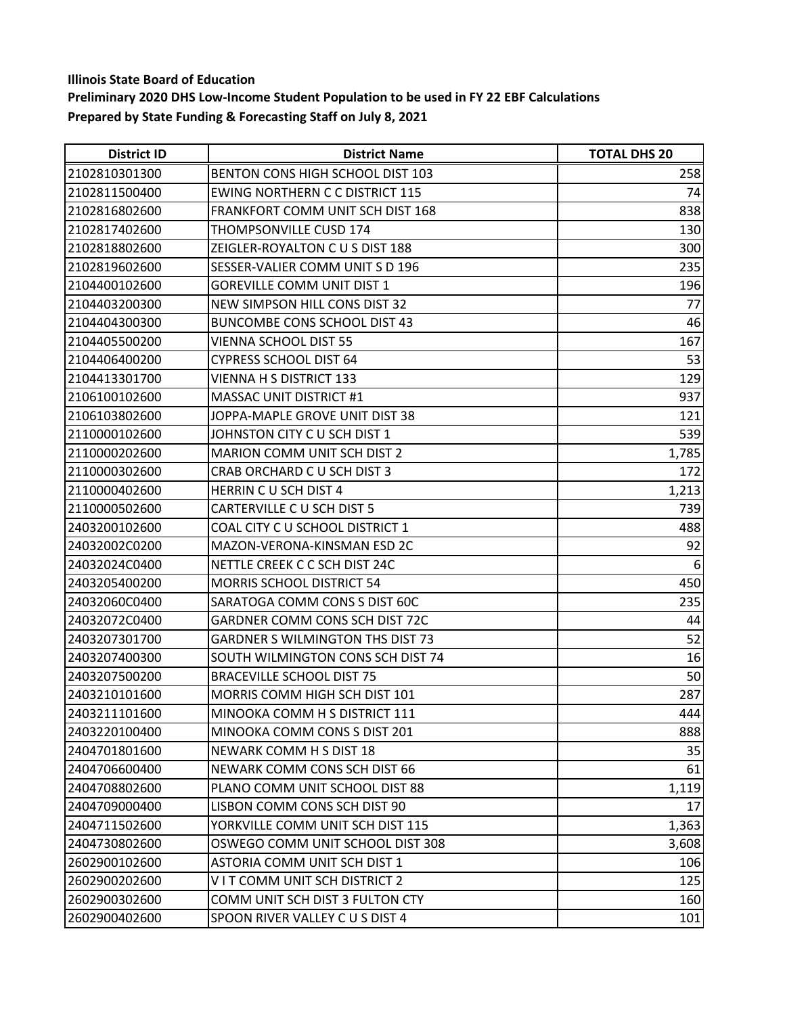| <b>District ID</b> | <b>District Name</b>                    | <b>TOTAL DHS 20</b> |
|--------------------|-----------------------------------------|---------------------|
| 2102810301300      | BENTON CONS HIGH SCHOOL DIST 103        | 258                 |
| 2102811500400      | <b>EWING NORTHERN C C DISTRICT 115</b>  | 74                  |
| 2102816802600      | <b>FRANKFORT COMM UNIT SCH DIST 168</b> | 838                 |
| 2102817402600      | THOMPSONVILLE CUSD 174                  | 130                 |
| 2102818802600      | ZEIGLER-ROYALTON C U S DIST 188         | 300                 |
| 2102819602600      | SESSER-VALIER COMM UNIT S D 196         | 235                 |
| 2104400102600      | <b>GOREVILLE COMM UNIT DIST 1</b>       | 196                 |
| 2104403200300      | NEW SIMPSON HILL CONS DIST 32           | 77                  |
| 2104404300300      | <b>BUNCOMBE CONS SCHOOL DIST 43</b>     | 46                  |
| 2104405500200      | <b>VIENNA SCHOOL DIST 55</b>            | 167                 |
| 2104406400200      | <b>CYPRESS SCHOOL DIST 64</b>           | 53                  |
| 2104413301700      | <b>VIENNA H S DISTRICT 133</b>          | 129                 |
| 2106100102600      | <b>MASSAC UNIT DISTRICT #1</b>          | 937                 |
| 2106103802600      | JOPPA-MAPLE GROVE UNIT DIST 38          | 121                 |
| 2110000102600      | JOHNSTON CITY C U SCH DIST 1            | 539                 |
| 2110000202600      | <b>MARION COMM UNIT SCH DIST 2</b>      | 1,785               |
| 2110000302600      | CRAB ORCHARD C U SCH DIST 3             | 172                 |
| 2110000402600      | HERRIN C U SCH DIST 4                   | 1,213               |
| 2110000502600      | CARTERVILLE C U SCH DIST 5              | 739                 |
| 2403200102600      | COAL CITY C U SCHOOL DISTRICT 1         | 488                 |
| 24032002C0200      | MAZON-VERONA-KINSMAN ESD 2C             | 92                  |
| 24032024C0400      | NETTLE CREEK C C SCH DIST 24C           | 6                   |
| 2403205400200      | <b>MORRIS SCHOOL DISTRICT 54</b>        | 450                 |
| 24032060C0400      | SARATOGA COMM CONS S DIST 60C           | 235                 |
| 24032072C0400      | GARDNER COMM CONS SCH DIST 72C          | 44                  |
| 2403207301700      | <b>GARDNER S WILMINGTON THS DIST 73</b> | 52                  |
| 2403207400300      | SOUTH WILMINGTON CONS SCH DIST 74       | 16                  |
| 2403207500200      | <b>BRACEVILLE SCHOOL DIST 75</b>        | 50                  |
| 2403210101600      | MORRIS COMM HIGH SCH DIST 101           | 287                 |
| 2403211101600      | MINOOKA COMM H S DISTRICT 111           | 444                 |
| 2403220100400      | MINOOKA COMM CONS S DIST 201            | 888                 |
| 2404701801600      | NEWARK COMM H S DIST 18                 | 35                  |
| 2404706600400      | NEWARK COMM CONS SCH DIST 66            | 61                  |
| 2404708802600      | PLANO COMM UNIT SCHOOL DIST 88          | 1,119               |
| 2404709000400      | LISBON COMM CONS SCH DIST 90            | 17                  |
| 2404711502600      | YORKVILLE COMM UNIT SCH DIST 115        | 1,363               |
| 2404730802600      | OSWEGO COMM UNIT SCHOOL DIST 308        | 3,608               |
| 2602900102600      | <b>ASTORIA COMM UNIT SCH DIST 1</b>     | 106                 |
| 2602900202600      | VIT COMM UNIT SCH DISTRICT 2            | 125                 |
| 2602900302600      | COMM UNIT SCH DIST 3 FULTON CTY         | 160                 |
| 2602900402600      | SPOON RIVER VALLEY C U S DIST 4         | 101                 |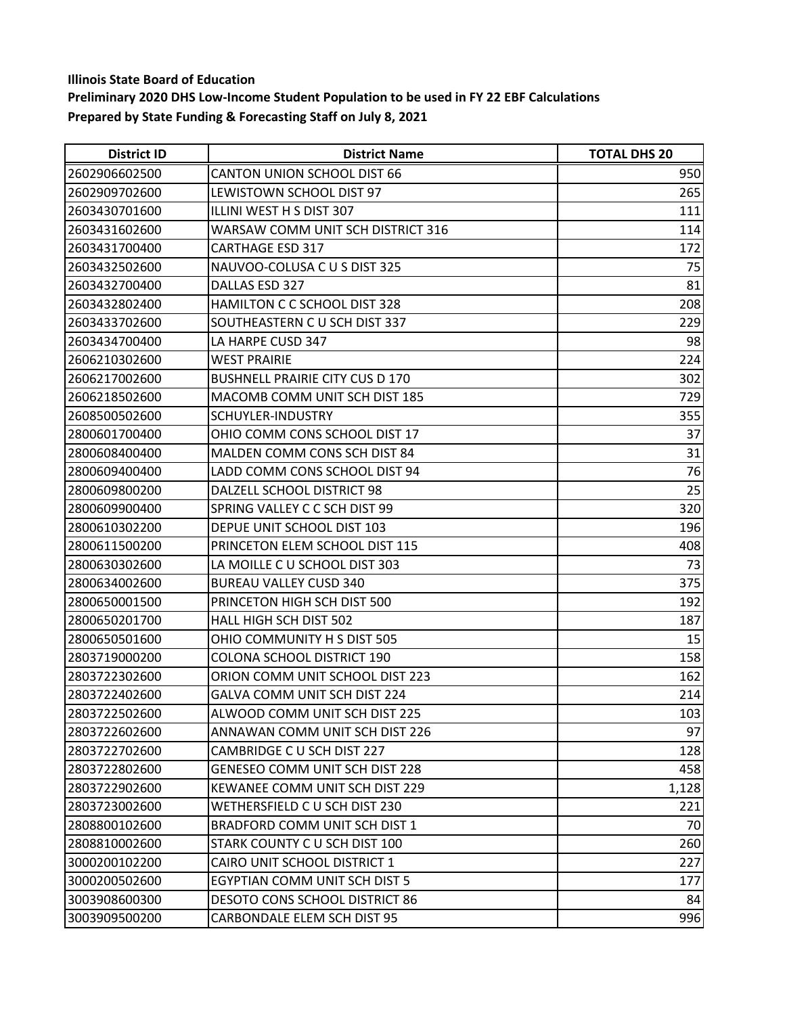| <b>District ID</b> | <b>District Name</b>                   | <b>TOTAL DHS 20</b> |
|--------------------|----------------------------------------|---------------------|
| 2602906602500      | <b>CANTON UNION SCHOOL DIST 66</b>     | 950                 |
| 2602909702600      | LEWISTOWN SCHOOL DIST 97               | 265                 |
| 2603430701600      | ILLINI WEST H S DIST 307               | 111                 |
| 2603431602600      | WARSAW COMM UNIT SCH DISTRICT 316      | 114                 |
| 2603431700400      | <b>CARTHAGE ESD 317</b>                | 172                 |
| 2603432502600      | NAUVOO-COLUSA C U S DIST 325           | 75                  |
| 2603432700400      | DALLAS ESD 327                         | 81                  |
| 2603432802400      | HAMILTON C C SCHOOL DIST 328           | 208                 |
| 2603433702600      | SOUTHEASTERN C U SCH DIST 337          | 229                 |
| 2603434700400      | LA HARPE CUSD 347                      | 98                  |
| 2606210302600      | <b>WEST PRAIRIE</b>                    | 224                 |
| 2606217002600      | <b>BUSHNELL PRAIRIE CITY CUS D 170</b> | 302                 |
| 2606218502600      | MACOMB COMM UNIT SCH DIST 185          | 729                 |
| 2608500502600      | SCHUYLER-INDUSTRY                      | 355                 |
| 2800601700400      | OHIO COMM CONS SCHOOL DIST 17          | 37                  |
| 2800608400400      | MALDEN COMM CONS SCH DIST 84           | 31                  |
| 2800609400400      | LADD COMM CONS SCHOOL DIST 94          | 76                  |
| 2800609800200      | DALZELL SCHOOL DISTRICT 98             | 25                  |
| 2800609900400      | SPRING VALLEY C C SCH DIST 99          | 320                 |
| 2800610302200      | DEPUE UNIT SCHOOL DIST 103             | 196                 |
| 2800611500200      | PRINCETON ELEM SCHOOL DIST 115         | 408                 |
| 2800630302600      | LA MOILLE C U SCHOOL DIST 303          | 73                  |
| 2800634002600      | <b>BUREAU VALLEY CUSD 340</b>          | 375                 |
| 2800650001500      | PRINCETON HIGH SCH DIST 500            | 192                 |
| 2800650201700      | HALL HIGH SCH DIST 502                 | 187                 |
| 2800650501600      | OHIO COMMUNITY H S DIST 505            | 15                  |
| 2803719000200      | <b>COLONA SCHOOL DISTRICT 190</b>      | 158                 |
| 2803722302600      | ORION COMM UNIT SCHOOL DIST 223        | 162                 |
| 2803722402600      | GALVA COMM UNIT SCH DIST 224           | 214                 |
| 2803722502600      | ALWOOD COMM UNIT SCH DIST 225          | 103                 |
| 2803722602600      | ANNAWAN COMM UNIT SCH DIST 226         | 97                  |
| 2803722702600      | CAMBRIDGE C U SCH DIST 227             | 128                 |
| 2803722802600      | <b>GENESEO COMM UNIT SCH DIST 228</b>  | 458                 |
| 2803722902600      | KEWANEE COMM UNIT SCH DIST 229         | 1,128               |
| 2803723002600      | WETHERSFIELD C U SCH DIST 230          | 221                 |
| 2808800102600      | BRADFORD COMM UNIT SCH DIST 1          | 70                  |
| 2808810002600      | STARK COUNTY C U SCH DIST 100          | 260                 |
| 3000200102200      | CAIRO UNIT SCHOOL DISTRICT 1           | 227                 |
| 3000200502600      | EGYPTIAN COMM UNIT SCH DIST 5          | 177                 |
| 3003908600300      | DESOTO CONS SCHOOL DISTRICT 86         | 84                  |
| 3003909500200      | CARBONDALE ELEM SCH DIST 95            | 996                 |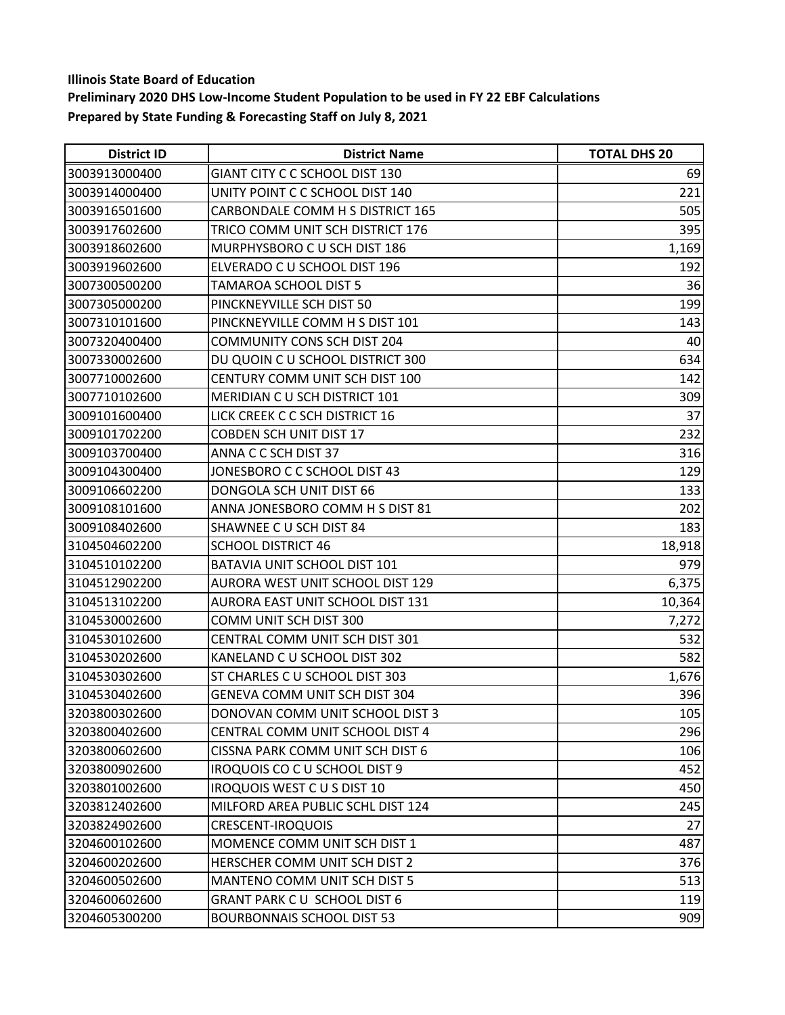| <b>District ID</b> | <b>District Name</b>                | <b>TOTAL DHS 20</b> |
|--------------------|-------------------------------------|---------------------|
| 3003913000400      | GIANT CITY C C SCHOOL DIST 130      | 69                  |
| 3003914000400      | UNITY POINT C C SCHOOL DIST 140     | 221                 |
| 3003916501600      | CARBONDALE COMM H S DISTRICT 165    | 505                 |
| 3003917602600      | TRICO COMM UNIT SCH DISTRICT 176    | 395                 |
| 3003918602600      | MURPHYSBORO C U SCH DIST 186        | 1,169               |
| 3003919602600      | ELVERADO C U SCHOOL DIST 196        | 192                 |
| 3007300500200      | TAMAROA SCHOOL DIST 5               | 36                  |
| 3007305000200      | PINCKNEYVILLE SCH DIST 50           | 199                 |
| 3007310101600      | PINCKNEYVILLE COMM H S DIST 101     | 143                 |
| 3007320400400      | <b>COMMUNITY CONS SCH DIST 204</b>  | 40                  |
| 3007330002600      | DU QUOIN C U SCHOOL DISTRICT 300    | 634                 |
| 3007710002600      | CENTURY COMM UNIT SCH DIST 100      | 142                 |
| 3007710102600      | <b>MERIDIAN CU SCH DISTRICT 101</b> | 309                 |
| 3009101600400      | LICK CREEK C C SCH DISTRICT 16      | 37                  |
| 3009101702200      | <b>COBDEN SCH UNIT DIST 17</b>      | 232                 |
| 3009103700400      | ANNA C C SCH DIST 37                | 316                 |
| 3009104300400      | JONESBORO C C SCHOOL DIST 43        | 129                 |
| 3009106602200      | DONGOLA SCH UNIT DIST 66            | 133                 |
| 3009108101600      | ANNA JONESBORO COMM H S DIST 81     | 202                 |
| 3009108402600      | SHAWNEE C U SCH DIST 84             | 183                 |
| 3104504602200      | <b>SCHOOL DISTRICT 46</b>           | 18,918              |
| 3104510102200      | BATAVIA UNIT SCHOOL DIST 101        | 979                 |
| 3104512902200      | AURORA WEST UNIT SCHOOL DIST 129    | 6,375               |
| 3104513102200      | AURORA EAST UNIT SCHOOL DIST 131    | 10,364              |
| 3104530002600      | COMM UNIT SCH DIST 300              | 7,272               |
| 3104530102600      | CENTRAL COMM UNIT SCH DIST 301      | 532                 |
| 3104530202600      | KANELAND C U SCHOOL DIST 302        | 582                 |
| 3104530302600      | ST CHARLES C U SCHOOL DIST 303      | 1,676               |
| 3104530402600      | GENEVA COMM UNIT SCH DIST 304       | 396                 |
| 3203800302600      | DONOVAN COMM UNIT SCHOOL DIST 3     | 105                 |
| 3203800402600      | CENTRAL COMM UNIT SCHOOL DIST 4     | 296                 |
| 3203800602600      | CISSNA PARK COMM UNIT SCH DIST 6    | 106                 |
| 3203800902600      | IROQUOIS CO C U SCHOOL DIST 9       | 452                 |
| 3203801002600      | <b>IROQUOIS WEST C U S DIST 10</b>  | 450                 |
| 3203812402600      | MILFORD AREA PUBLIC SCHL DIST 124   | 245                 |
| 3203824902600      | <b>CRESCENT-IROQUOIS</b>            | 27                  |
| 3204600102600      | MOMENCE COMM UNIT SCH DIST 1        | 487                 |
| 3204600202600      | HERSCHER COMM UNIT SCH DIST 2       | 376                 |
| 3204600502600      | MANTENO COMM UNIT SCH DIST 5        | 513                 |
| 3204600602600      | GRANT PARK CU SCHOOL DIST 6         | 119                 |
| 3204605300200      | <b>BOURBONNAIS SCHOOL DIST 53</b>   | 909                 |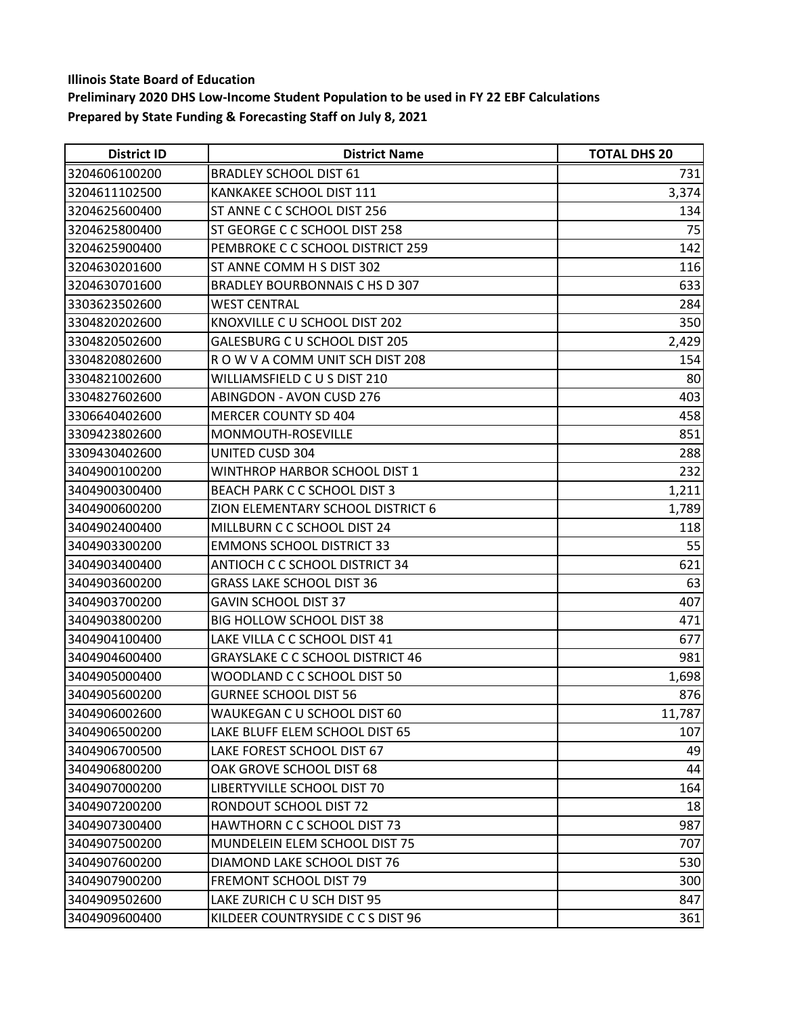| <b>District ID</b> | <b>District Name</b>                    | <b>TOTAL DHS 20</b> |
|--------------------|-----------------------------------------|---------------------|
| 3204606100200      | <b>BRADLEY SCHOOL DIST 61</b>           | 731                 |
| 3204611102500      | <b>KANKAKEE SCHOOL DIST 111</b>         | 3,374               |
| 3204625600400      | ST ANNE C C SCHOOL DIST 256             | 134                 |
| 3204625800400      | ST GEORGE C C SCHOOL DIST 258           | 75                  |
| 3204625900400      | PEMBROKE C C SCHOOL DISTRICT 259        | 142                 |
| 3204630201600      | ST ANNE COMM H S DIST 302               | 116                 |
| 3204630701600      | BRADLEY BOURBONNAIS C HS D 307          | 633                 |
| 3303623502600      | <b>WEST CENTRAL</b>                     | 284                 |
| 3304820202600      | KNOXVILLE C U SCHOOL DIST 202           | 350                 |
| 3304820502600      | GALESBURG C U SCHOOL DIST 205           | 2,429               |
| 3304820802600      | ROW V A COMM UNIT SCH DIST 208          | 154                 |
| 3304821002600      | WILLIAMSFIELD CUS DIST 210              | 80                  |
| 3304827602600      | <b>ABINGDON - AVON CUSD 276</b>         | 403                 |
| 3306640402600      | <b>MERCER COUNTY SD 404</b>             | 458                 |
| 3309423802600      | MONMOUTH-ROSEVILLE                      | 851                 |
| 3309430402600      | UNITED CUSD 304                         | 288                 |
| 3404900100200      | <b>WINTHROP HARBOR SCHOOL DIST 1</b>    | 232                 |
| 3404900300400      | <b>BEACH PARK C C SCHOOL DIST 3</b>     | 1,211               |
| 3404900600200      | ZION ELEMENTARY SCHOOL DISTRICT 6       | 1,789               |
| 3404902400400      | MILLBURN C C SCHOOL DIST 24             | 118                 |
| 3404903300200      | <b>EMMONS SCHOOL DISTRICT 33</b>        | 55                  |
| 3404903400400      | ANTIOCH C C SCHOOL DISTRICT 34          | 621                 |
| 3404903600200      | <b>GRASS LAKE SCHOOL DIST 36</b>        | 63                  |
| 3404903700200      | <b>GAVIN SCHOOL DIST 37</b>             | 407                 |
| 3404903800200      | <b>BIG HOLLOW SCHOOL DIST 38</b>        | 471                 |
| 3404904100400      | LAKE VILLA C C SCHOOL DIST 41           | 677                 |
| 3404904600400      | <b>GRAYSLAKE C C SCHOOL DISTRICT 46</b> | 981                 |
| 3404905000400      | WOODLAND C C SCHOOL DIST 50             | 1,698               |
| 3404905600200      | <b>GURNEE SCHOOL DIST 56</b>            | 876                 |
| 3404906002600      | WAUKEGAN C U SCHOOL DIST 60             | 11,787              |
| 3404906500200      | LAKE BLUFF ELEM SCHOOL DIST 65          | 107                 |
| 3404906700500      | LAKE FOREST SCHOOL DIST 67              | 49                  |
| 3404906800200      | OAK GROVE SCHOOL DIST 68                | 44                  |
| 3404907000200      | LIBERTYVILLE SCHOOL DIST 70             | 164                 |
| 3404907200200      | RONDOUT SCHOOL DIST 72                  | 18                  |
| 3404907300400      | HAWTHORN C C SCHOOL DIST 73             | 987                 |
| 3404907500200      | MUNDELEIN ELEM SCHOOL DIST 75           | 707                 |
| 3404907600200      | DIAMOND LAKE SCHOOL DIST 76             | 530                 |
| 3404907900200      | <b>FREMONT SCHOOL DIST 79</b>           | 300                 |
| 3404909502600      | LAKE ZURICH C U SCH DIST 95             | 847                 |
| 3404909600400      | KILDEER COUNTRYSIDE C C S DIST 96       | 361                 |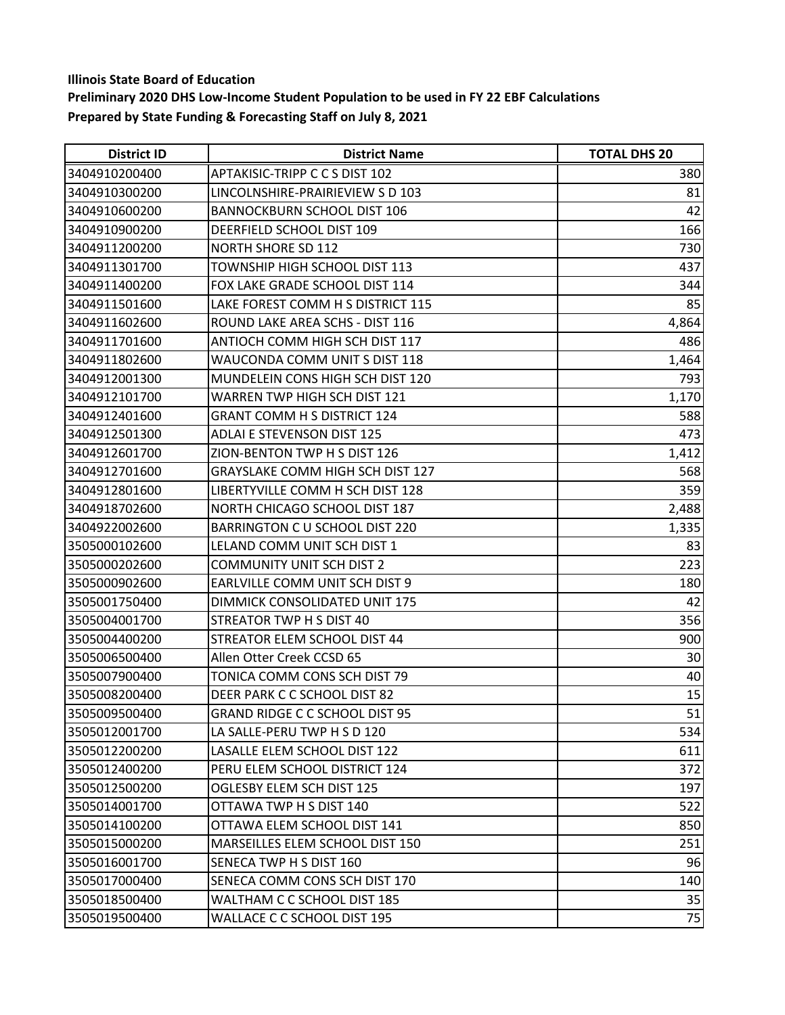| <b>District ID</b> | <b>District Name</b>                    | <b>TOTAL DHS 20</b> |
|--------------------|-----------------------------------------|---------------------|
| 3404910200400      | APTAKISIC-TRIPP C C S DIST 102          | 380                 |
| 3404910300200      | LINCOLNSHIRE-PRAIRIEVIEW S D 103        | 81                  |
| 3404910600200      | <b>BANNOCKBURN SCHOOL DIST 106</b>      | 42                  |
| 3404910900200      | DEERFIELD SCHOOL DIST 109               | 166                 |
| 3404911200200      | <b>NORTH SHORE SD 112</b>               | 730                 |
| 3404911301700      | TOWNSHIP HIGH SCHOOL DIST 113           | 437                 |
| 3404911400200      | FOX LAKE GRADE SCHOOL DIST 114          | 344                 |
| 3404911501600      | LAKE FOREST COMM H S DISTRICT 115       | 85                  |
| 3404911602600      | ROUND LAKE AREA SCHS - DIST 116         | 4,864               |
| 3404911701600      | ANTIOCH COMM HIGH SCH DIST 117          | 486                 |
| 3404911802600      | WAUCONDA COMM UNIT S DIST 118           | 1,464               |
| 3404912001300      | MUNDELEIN CONS HIGH SCH DIST 120        | 793                 |
| 3404912101700      | WARREN TWP HIGH SCH DIST 121            | 1,170               |
| 3404912401600      | <b>GRANT COMM H S DISTRICT 124</b>      | 588                 |
| 3404912501300      | <b>ADLAI E STEVENSON DIST 125</b>       | 473                 |
| 3404912601700      | ZION-BENTON TWP H S DIST 126            | 1,412               |
| 3404912701600      | <b>GRAYSLAKE COMM HIGH SCH DIST 127</b> | 568                 |
| 3404912801600      | LIBERTYVILLE COMM H SCH DIST 128        | 359                 |
| 3404918702600      | NORTH CHICAGO SCHOOL DIST 187           | 2,488               |
| 3404922002600      | BARRINGTON C U SCHOOL DIST 220          | 1,335               |
| 3505000102600      | LELAND COMM UNIT SCH DIST 1             | 83                  |
| 3505000202600      | <b>COMMUNITY UNIT SCH DIST 2</b>        | 223                 |
| 3505000902600      | EARLVILLE COMM UNIT SCH DIST 9          | 180                 |
| 3505001750400      | DIMMICK CONSOLIDATED UNIT 175           | 42                  |
| 3505004001700      | STREATOR TWP H S DIST 40                | 356                 |
| 3505004400200      | STREATOR ELEM SCHOOL DIST 44            | 900                 |
| 3505006500400      | Allen Otter Creek CCSD 65               | 30                  |
| 3505007900400      | TONICA COMM CONS SCH DIST 79            | 40                  |
| 3505008200400      | DEER PARK C C SCHOOL DIST 82            | 15                  |
| 3505009500400      | <b>GRAND RIDGE C C SCHOOL DIST 95</b>   | 51                  |
| 3505012001700      | LA SALLE-PERU TWP H S D 120             | 534                 |
| 3505012200200      | LASALLE ELEM SCHOOL DIST 122            | 611                 |
| 3505012400200      | PERU ELEM SCHOOL DISTRICT 124           | 372                 |
| 3505012500200      | OGLESBY ELEM SCH DIST 125               | 197                 |
| 3505014001700      | OTTAWA TWP H S DIST 140                 | 522                 |
| 3505014100200      | OTTAWA ELEM SCHOOL DIST 141             | 850                 |
| 3505015000200      | MARSEILLES ELEM SCHOOL DIST 150         | 251                 |
| 3505016001700      | SENECA TWP H S DIST 160                 | 96                  |
| 3505017000400      | SENECA COMM CONS SCH DIST 170           | 140                 |
| 3505018500400      | WALTHAM C C SCHOOL DIST 185             | 35                  |
| 3505019500400      | WALLACE C C SCHOOL DIST 195             | 75                  |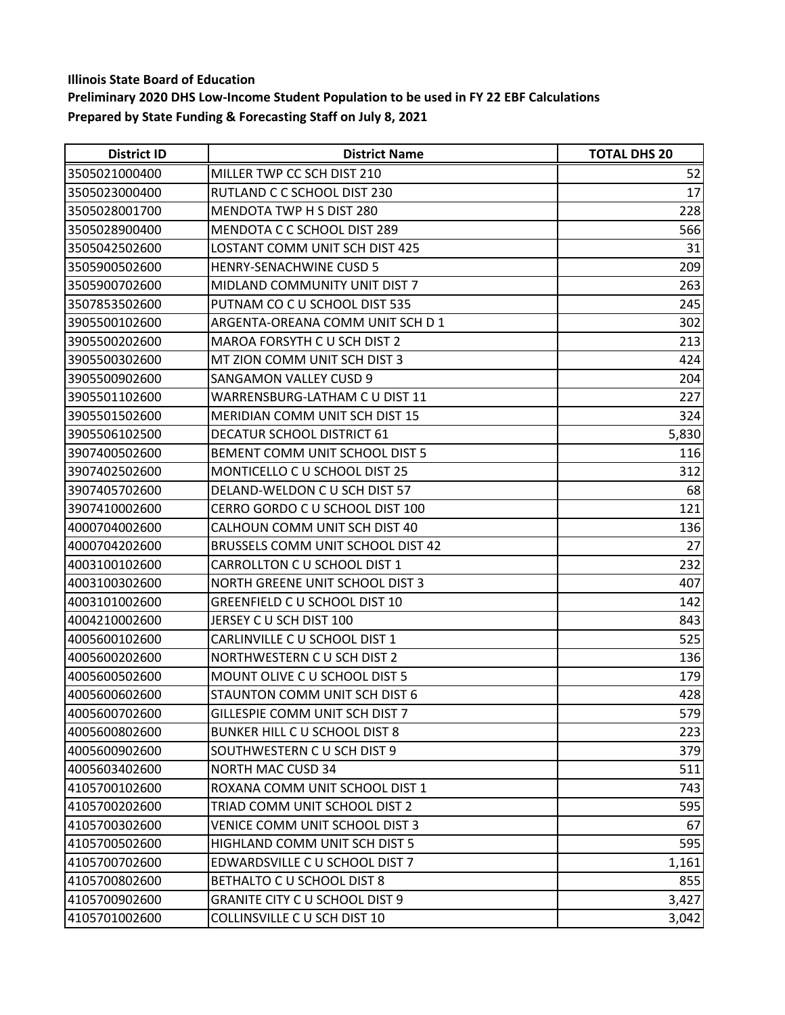| <b>District ID</b> | <b>District Name</b>                     | <b>TOTAL DHS 20</b> |
|--------------------|------------------------------------------|---------------------|
| 3505021000400      | MILLER TWP CC SCH DIST 210               | 52                  |
| 3505023000400      | RUTLAND C C SCHOOL DIST 230              | 17                  |
| 3505028001700      | MENDOTA TWP H S DIST 280                 | 228                 |
| 3505028900400      | MENDOTA C C SCHOOL DIST 289              | 566                 |
| 3505042502600      | LOSTANT COMM UNIT SCH DIST 425           | 31                  |
| 3505900502600      | <b>HENRY-SENACHWINE CUSD 5</b>           | 209                 |
| 3505900702600      | MIDLAND COMMUNITY UNIT DIST 7            | 263                 |
| 3507853502600      | PUTNAM CO C U SCHOOL DIST 535            | 245                 |
| 3905500102600      | ARGENTA-OREANA COMM UNIT SCH D 1         | 302                 |
| 3905500202600      | MAROA FORSYTH C U SCH DIST 2             | 213                 |
| 3905500302600      | MT ZION COMM UNIT SCH DIST 3             | 424                 |
| 3905500902600      | <b>SANGAMON VALLEY CUSD 9</b>            | 204                 |
| 3905501102600      | WARRENSBURG-LATHAM C U DIST 11           | 227                 |
| 3905501502600      | <b>MERIDIAN COMM UNIT SCH DIST 15</b>    | 324                 |
| 3905506102500      | DECATUR SCHOOL DISTRICT 61               | 5,830               |
| 3907400502600      | BEMENT COMM UNIT SCHOOL DIST 5           | 116                 |
| 3907402502600      | MONTICELLO C U SCHOOL DIST 25            | 312                 |
| 3907405702600      | DELAND-WELDON C U SCH DIST 57            | 68                  |
| 3907410002600      | CERRO GORDO C U SCHOOL DIST 100          | 121                 |
| 4000704002600      | CALHOUN COMM UNIT SCH DIST 40            | 136                 |
| 4000704202600      | <b>BRUSSELS COMM UNIT SCHOOL DIST 42</b> | 27                  |
| 4003100102600      | CARROLLTON C U SCHOOL DIST 1             | 232                 |
| 4003100302600      | NORTH GREENE UNIT SCHOOL DIST 3          | 407                 |
| 4003101002600      | GREENFIELD C U SCHOOL DIST 10            | 142                 |
| 4004210002600      | JERSEY C U SCH DIST 100                  | 843                 |
| 4005600102600      | CARLINVILLE C U SCHOOL DIST 1            | 525                 |
| 4005600202600      | NORTHWESTERN CU SCH DIST 2               | 136                 |
| 4005600502600      | MOUNT OLIVE C U SCHOOL DIST 5            | 179                 |
| 4005600602600      | STAUNTON COMM UNIT SCH DIST 6            | 428                 |
| 4005600702600      | GILLESPIE COMM UNIT SCH DIST 7           | 579                 |
| 4005600802600      | BUNKER HILL C U SCHOOL DIST 8            | 223                 |
| 4005600902600      | SOUTHWESTERN C U SCH DIST 9              | 379                 |
| 4005603402600      | <b>NORTH MAC CUSD 34</b>                 | 511                 |
| 4105700102600      | ROXANA COMM UNIT SCHOOL DIST 1           | 743                 |
| 4105700202600      | TRIAD COMM UNIT SCHOOL DIST 2            | 595                 |
| 4105700302600      | VENICE COMM UNIT SCHOOL DIST 3           | 67                  |
| 4105700502600      | HIGHLAND COMM UNIT SCH DIST 5            | 595                 |
| 4105700702600      | EDWARDSVILLE C U SCHOOL DIST 7           | 1,161               |
| 4105700802600      | BETHALTO C U SCHOOL DIST 8               | 855                 |
| 4105700902600      | <b>GRANITE CITY C U SCHOOL DIST 9</b>    | 3,427               |
| 4105701002600      | COLLINSVILLE C U SCH DIST 10             | 3,042               |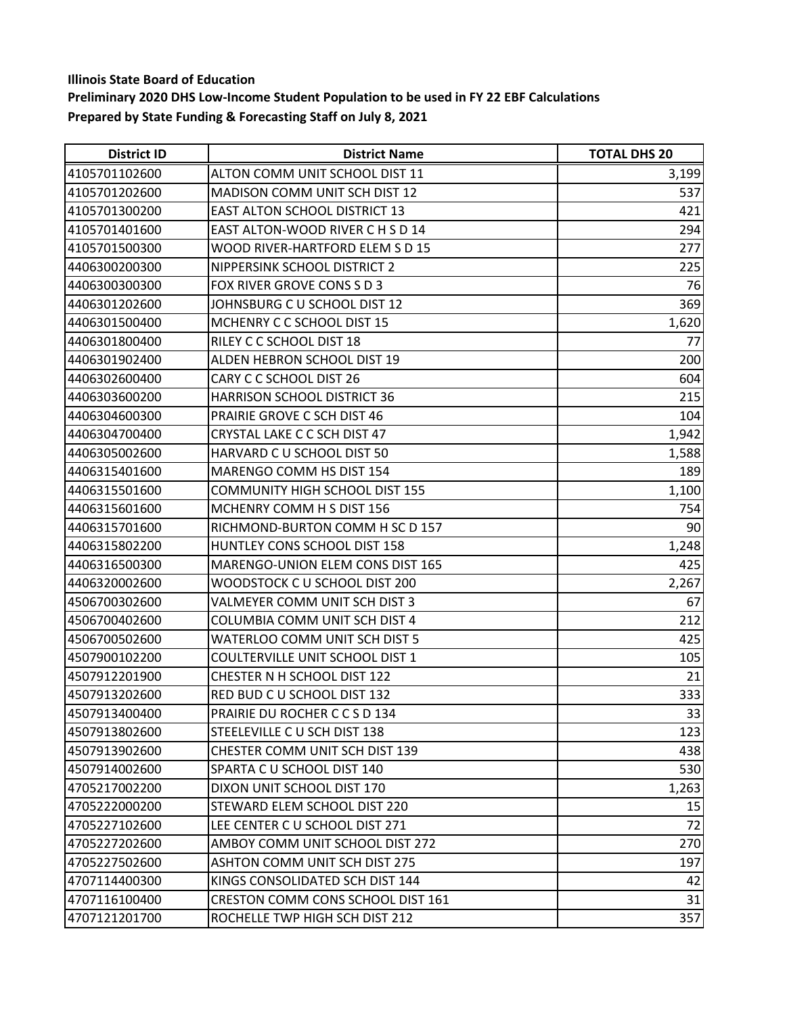| <b>District ID</b> | <b>District Name</b>                  | <b>TOTAL DHS 20</b> |
|--------------------|---------------------------------------|---------------------|
| 4105701102600      | ALTON COMM UNIT SCHOOL DIST 11        | 3,199               |
| 4105701202600      | <b>MADISON COMM UNIT SCH DIST 12</b>  | 537                 |
| 4105701300200      | <b>EAST ALTON SCHOOL DISTRICT 13</b>  | 421                 |
| 4105701401600      | EAST ALTON-WOOD RIVER C H S D 14      | 294                 |
| 4105701500300      | WOOD RIVER-HARTFORD ELEM S D 15       | 277                 |
| 4406300200300      | NIPPERSINK SCHOOL DISTRICT 2          | 225                 |
| 4406300300300      | FOX RIVER GROVE CONS S D 3            | 76                  |
| 4406301202600      | JOHNSBURG C U SCHOOL DIST 12          | 369                 |
| 4406301500400      | MCHENRY C C SCHOOL DIST 15            | 1,620               |
| 4406301800400      | RILEY C C SCHOOL DIST 18              | 77                  |
| 4406301902400      | ALDEN HEBRON SCHOOL DIST 19           | 200                 |
| 4406302600400      | CARY C C SCHOOL DIST 26               | 604                 |
| 4406303600200      | <b>HARRISON SCHOOL DISTRICT 36</b>    | 215                 |
| 4406304600300      | PRAIRIE GROVE C SCH DIST 46           | 104                 |
| 4406304700400      | CRYSTAL LAKE C C SCH DIST 47          | 1,942               |
| 4406305002600      | HARVARD C U SCHOOL DIST 50            | 1,588               |
| 4406315401600      | MARENGO COMM HS DIST 154              | 189                 |
| 4406315501600      | <b>COMMUNITY HIGH SCHOOL DIST 155</b> | 1,100               |
| 4406315601600      | MCHENRY COMM H S DIST 156             | 754                 |
| 4406315701600      | RICHMOND-BURTON COMM H SC D 157       | 90                  |
| 4406315802200      | HUNTLEY CONS SCHOOL DIST 158          | 1,248               |
| 4406316500300      | MARENGO-UNION ELEM CONS DIST 165      | 425                 |
| 4406320002600      | WOODSTOCK C U SCHOOL DIST 200         | 2,267               |
| 4506700302600      | VALMEYER COMM UNIT SCH DIST 3         | 67                  |
| 4506700402600      | COLUMBIA COMM UNIT SCH DIST 4         | 212                 |
| 4506700502600      | WATERLOO COMM UNIT SCH DIST 5         | 425                 |
| 4507900102200      | COULTERVILLE UNIT SCHOOL DIST 1       | 105                 |
| 4507912201900      | CHESTER N H SCHOOL DIST 122           | 21                  |
| 4507913202600      | RED BUD C U SCHOOL DIST 132           | 333                 |
| 4507913400400      | PRAIRIE DU ROCHER C C S D 134         | 33                  |
| 4507913802600      | STEELEVILLE C U SCH DIST 138          | 123                 |
| 4507913902600      | CHESTER COMM UNIT SCH DIST 139        | 438                 |
| 4507914002600      | SPARTA C U SCHOOL DIST 140            | 530                 |
| 4705217002200      | DIXON UNIT SCHOOL DIST 170            | 1,263               |
| 4705222000200      | STEWARD ELEM SCHOOL DIST 220          | 15                  |
| 4705227102600      | LEE CENTER C U SCHOOL DIST 271        | 72                  |
| 4705227202600      | AMBOY COMM UNIT SCHOOL DIST 272       | 270                 |
| 4705227502600      | <b>ASHTON COMM UNIT SCH DIST 275</b>  | 197                 |
| 4707114400300      | KINGS CONSOLIDATED SCH DIST 144       | 42                  |
| 4707116100400      | CRESTON COMM CONS SCHOOL DIST 161     | 31                  |
| 4707121201700      | ROCHELLE TWP HIGH SCH DIST 212        | 357                 |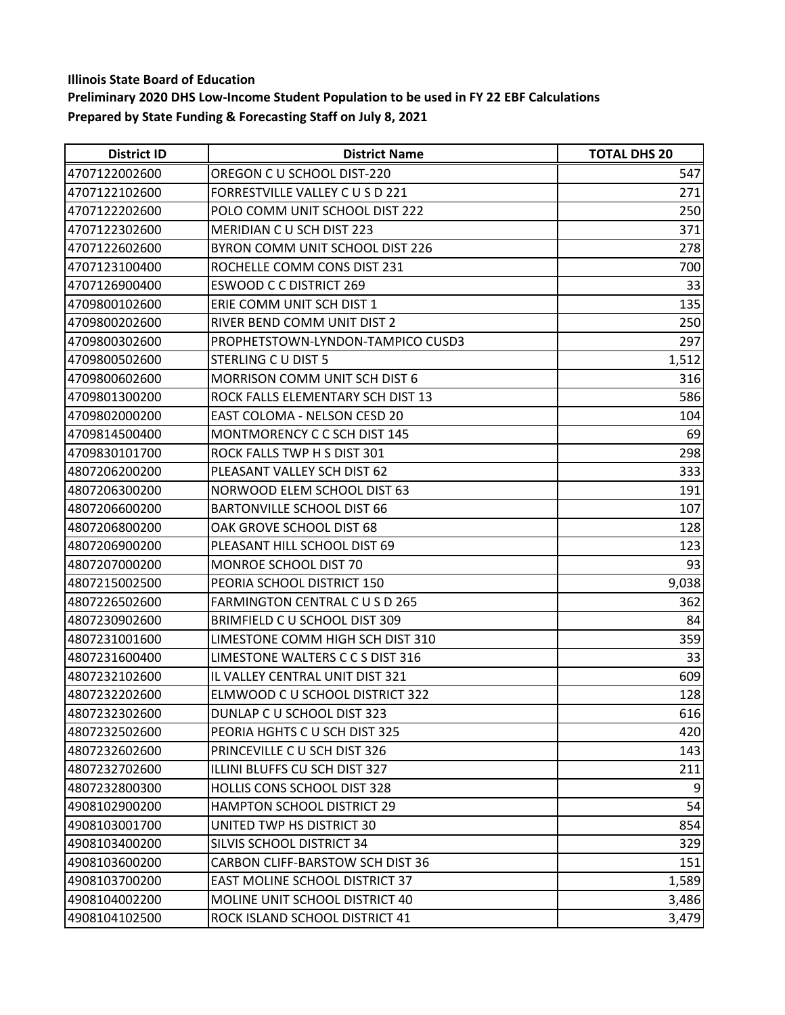| <b>District ID</b> | <b>District Name</b>                    | <b>TOTAL DHS 20</b> |
|--------------------|-----------------------------------------|---------------------|
| 4707122002600      | OREGON C U SCHOOL DIST-220              | 547                 |
| 4707122102600      | FORRESTVILLE VALLEY C U S D 221         | 271                 |
| 4707122202600      | POLO COMM UNIT SCHOOL DIST 222          | 250                 |
| 4707122302600      | MERIDIAN CU SCH DIST 223                | 371                 |
| 4707122602600      | BYRON COMM UNIT SCHOOL DIST 226         | 278                 |
| 4707123100400      | ROCHELLE COMM CONS DIST 231             | 700                 |
| 4707126900400      | <b>ESWOOD C C DISTRICT 269</b>          | 33                  |
| 4709800102600      | ERIE COMM UNIT SCH DIST 1               | 135                 |
| 4709800202600      | RIVER BEND COMM UNIT DIST 2             | 250                 |
| 4709800302600      | PROPHETSTOWN-LYNDON-TAMPICO CUSD3       | 297                 |
| 4709800502600      | STERLING C U DIST 5                     | 1,512               |
| 4709800602600      | <b>MORRISON COMM UNIT SCH DIST 6</b>    | 316                 |
| 4709801300200      | ROCK FALLS ELEMENTARY SCH DIST 13       | 586                 |
| 4709802000200      | EAST COLOMA - NELSON CESD 20            | 104                 |
| 4709814500400      | MONTMORENCY C C SCH DIST 145            | 69                  |
| 4709830101700      | ROCK FALLS TWP H S DIST 301             | 298                 |
| 4807206200200      | PLEASANT VALLEY SCH DIST 62             | 333                 |
| 4807206300200      | NORWOOD ELEM SCHOOL DIST 63             | 191                 |
| 4807206600200      | <b>BARTONVILLE SCHOOL DIST 66</b>       | 107                 |
| 4807206800200      | OAK GROVE SCHOOL DIST 68                | 128                 |
| 4807206900200      | PLEASANT HILL SCHOOL DIST 69            | 123                 |
| 4807207000200      | MONROE SCHOOL DIST 70                   | 93                  |
| 4807215002500      | PEORIA SCHOOL DISTRICT 150              | 9,038               |
| 4807226502600      | FARMINGTON CENTRAL C U S D 265          | 362                 |
| 4807230902600      | BRIMFIELD C U SCHOOL DIST 309           | 84                  |
| 4807231001600      | LIMESTONE COMM HIGH SCH DIST 310        | 359                 |
| 4807231600400      | LIMESTONE WALTERS C C S DIST 316        | 33                  |
| 4807232102600      | IL VALLEY CENTRAL UNIT DIST 321         | 609                 |
| 4807232202600      | ELMWOOD C U SCHOOL DISTRICT 322         | 128                 |
| 4807232302600      | DUNLAP C U SCHOOL DIST 323              | 616                 |
| 4807232502600      | PEORIA HGHTS C U SCH DIST 325           | 420                 |
| 4807232602600      | PRINCEVILLE C U SCH DIST 326            | 143                 |
| 4807232702600      | ILLINI BLUFFS CU SCH DIST 327           | 211                 |
| 4807232800300      | HOLLIS CONS SCHOOL DIST 328             | 9                   |
| 4908102900200      | <b>HAMPTON SCHOOL DISTRICT 29</b>       | 54                  |
| 4908103001700      | UNITED TWP HS DISTRICT 30               | 854                 |
| 4908103400200      | SILVIS SCHOOL DISTRICT 34               | 329                 |
| 4908103600200      | <b>CARBON CLIFF-BARSTOW SCH DIST 36</b> | 151                 |
| 4908103700200      | <b>EAST MOLINE SCHOOL DISTRICT 37</b>   | 1,589               |
| 4908104002200      | MOLINE UNIT SCHOOL DISTRICT 40          | 3,486               |
| 4908104102500      | ROCK ISLAND SCHOOL DISTRICT 41          | 3,479               |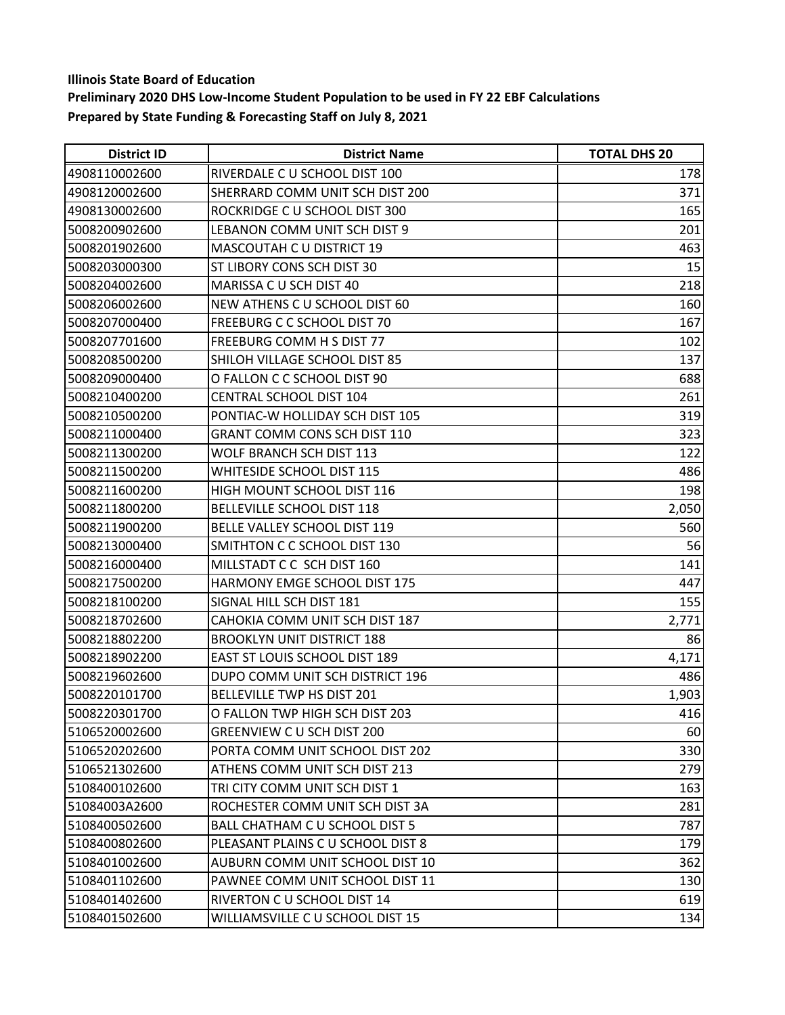| <b>District ID</b> | <b>District Name</b>                  | <b>TOTAL DHS 20</b> |
|--------------------|---------------------------------------|---------------------|
| 4908110002600      | RIVERDALE C U SCHOOL DIST 100         | 178                 |
| 4908120002600      | SHERRARD COMM UNIT SCH DIST 200       | 371                 |
| 4908130002600      | ROCKRIDGE C U SCHOOL DIST 300         | 165                 |
| 5008200902600      | LEBANON COMM UNIT SCH DIST 9          | 201                 |
| 5008201902600      | MASCOUTAH C U DISTRICT 19             | 463                 |
| 5008203000300      | ST LIBORY CONS SCH DIST 30            | 15                  |
| 5008204002600      | MARISSA C U SCH DIST 40               | 218                 |
| 5008206002600      | NEW ATHENS C U SCHOOL DIST 60         | 160                 |
| 5008207000400      | FREEBURG C C SCHOOL DIST 70           | 167                 |
| 5008207701600      | FREEBURG COMM H S DIST 77             | 102                 |
| 5008208500200      | SHILOH VILLAGE SCHOOL DIST 85         | 137                 |
| 5008209000400      | O FALLON C C SCHOOL DIST 90           | 688                 |
| 5008210400200      | <b>CENTRAL SCHOOL DIST 104</b>        | 261                 |
| 5008210500200      | PONTIAC-W HOLLIDAY SCH DIST 105       | 319                 |
| 5008211000400      | GRANT COMM CONS SCH DIST 110          | 323                 |
| 5008211300200      | WOLF BRANCH SCH DIST 113              | 122                 |
| 5008211500200      | WHITESIDE SCHOOL DIST 115             | 486                 |
| 5008211600200      | HIGH MOUNT SCHOOL DIST 116            | 198                 |
| 5008211800200      | BELLEVILLE SCHOOL DIST 118            | 2,050               |
| 5008211900200      | BELLE VALLEY SCHOOL DIST 119          | 560                 |
| 5008213000400      | SMITHTON C C SCHOOL DIST 130          | 56                  |
| 5008216000400      | MILLSTADT C C SCH DIST 160            | 141                 |
| 5008217500200      | HARMONY EMGE SCHOOL DIST 175          | 447                 |
| 5008218100200      | SIGNAL HILL SCH DIST 181              | 155                 |
| 5008218702600      | CAHOKIA COMM UNIT SCH DIST 187        | 2,771               |
| 5008218802200      | <b>BROOKLYN UNIT DISTRICT 188</b>     | 86                  |
| 5008218902200      | EAST ST LOUIS SCHOOL DIST 189         | 4,171               |
| 5008219602600      | DUPO COMM UNIT SCH DISTRICT 196       | 486                 |
| 5008220101700      | BELLEVILLE TWP HS DIST 201            | 1,903               |
| 5008220301700      | O FALLON TWP HIGH SCH DIST 203        | 416                 |
| 5106520002600      | GREENVIEW C U SCH DIST 200            | 60                  |
| 5106520202600      | PORTA COMM UNIT SCHOOL DIST 202       | 330                 |
| 5106521302600      | ATHENS COMM UNIT SCH DIST 213         | 279                 |
| 5108400102600      | TRI CITY COMM UNIT SCH DIST 1         | 163                 |
| 51084003A2600      | ROCHESTER COMM UNIT SCH DIST 3A       | 281                 |
| 5108400502600      | <b>BALL CHATHAM C U SCHOOL DIST 5</b> | 787                 |
| 5108400802600      | PLEASANT PLAINS C U SCHOOL DIST 8     | 179                 |
| 5108401002600      | AUBURN COMM UNIT SCHOOL DIST 10       | 362                 |
| 5108401102600      | PAWNEE COMM UNIT SCHOOL DIST 11       | 130                 |
| 5108401402600      | RIVERTON C U SCHOOL DIST 14           | 619                 |
| 5108401502600      | WILLIAMSVILLE C U SCHOOL DIST 15      | 134                 |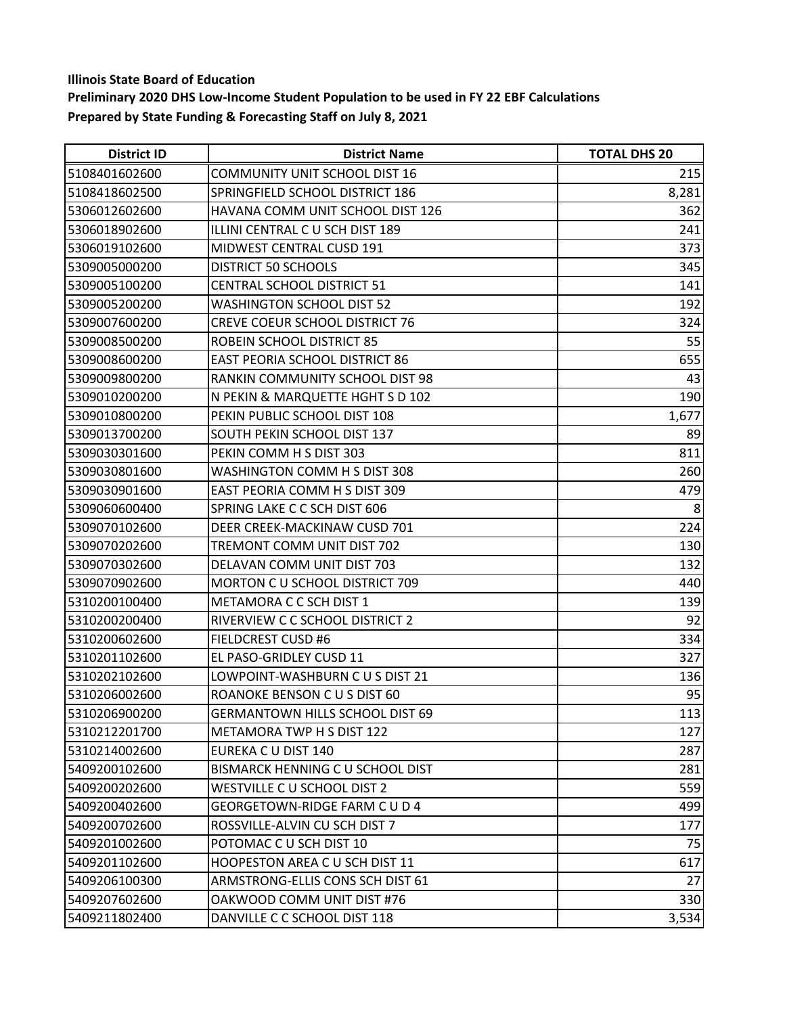| <b>District ID</b> | <b>District Name</b>                   | <b>TOTAL DHS 20</b> |
|--------------------|----------------------------------------|---------------------|
| 5108401602600      | <b>COMMUNITY UNIT SCHOOL DIST 16</b>   | 215                 |
| 5108418602500      | <b>SPRINGFIELD SCHOOL DISTRICT 186</b> | 8,281               |
| 5306012602600      | HAVANA COMM UNIT SCHOOL DIST 126       | 362                 |
| 5306018902600      | ILLINI CENTRAL C U SCH DIST 189        | 241                 |
| 5306019102600      | MIDWEST CENTRAL CUSD 191               | 373                 |
| 5309005000200      | <b>DISTRICT 50 SCHOOLS</b>             | 345                 |
| 5309005100200      | <b>CENTRAL SCHOOL DISTRICT 51</b>      | 141                 |
| 5309005200200      | <b>WASHINGTON SCHOOL DIST 52</b>       | 192                 |
| 5309007600200      | <b>CREVE COEUR SCHOOL DISTRICT 76</b>  | 324                 |
| 5309008500200      | ROBEIN SCHOOL DISTRICT 85              | 55                  |
| 5309008600200      | <b>EAST PEORIA SCHOOL DISTRICT 86</b>  | 655                 |
| 5309009800200      | RANKIN COMMUNITY SCHOOL DIST 98        | 43                  |
| 5309010200200      | N PEKIN & MARQUETTE HGHT S D 102       | 190                 |
| 5309010800200      | PEKIN PUBLIC SCHOOL DIST 108           | 1,677               |
| 5309013700200      | SOUTH PEKIN SCHOOL DIST 137            | 89                  |
| 5309030301600      | PEKIN COMM H S DIST 303                | 811                 |
| 5309030801600      | WASHINGTON COMM H S DIST 308           | 260                 |
| 5309030901600      | EAST PEORIA COMM H S DIST 309          | 479                 |
| 5309060600400      | SPRING LAKE C C SCH DIST 606           | 8                   |
| 5309070102600      | DEER CREEK-MACKINAW CUSD 701           | 224                 |
| 5309070202600      | TREMONT COMM UNIT DIST 702             | 130                 |
| 5309070302600      | DELAVAN COMM UNIT DIST 703             | 132                 |
| 5309070902600      | <b>MORTON C U SCHOOL DISTRICT 709</b>  | 440                 |
| 5310200100400      | METAMORA C C SCH DIST 1                | 139                 |
| 5310200200400      | RIVERVIEW C C SCHOOL DISTRICT 2        | 92                  |
| 5310200602600      | <b>FIELDCREST CUSD #6</b>              | 334                 |
| 5310201102600      | EL PASO-GRIDLEY CUSD 11                | 327                 |
| 5310202102600      | LOWPOINT-WASHBURN C U S DIST 21        | 136                 |
| 5310206002600      | ROANOKE BENSON C U S DIST 60           | 95                  |
| 5310206900200      | <b>GERMANTOWN HILLS SCHOOL DIST 69</b> | 113                 |
| 5310212201700      | METAMORA TWP H S DIST 122              | 127                 |
| 5310214002600      | EUREKA C U DIST 140                    | 287                 |
| 5409200102600      | BISMARCK HENNING C U SCHOOL DIST       | 281                 |
| 5409200202600      | WESTVILLE C U SCHOOL DIST 2            | 559                 |
| 5409200402600      | <b>GEORGETOWN-RIDGE FARM CUD4</b>      | 499                 |
| 5409200702600      | ROSSVILLE-ALVIN CU SCH DIST 7          | 177                 |
| 5409201002600      | POTOMAC C U SCH DIST 10                | 75                  |
| 5409201102600      | HOOPESTON AREA C U SCH DIST 11         | 617                 |
| 5409206100300      | ARMSTRONG-ELLIS CONS SCH DIST 61       | 27                  |
| 5409207602600      | OAKWOOD COMM UNIT DIST #76             | 330                 |
| 5409211802400      | DANVILLE C C SCHOOL DIST 118           | 3,534               |